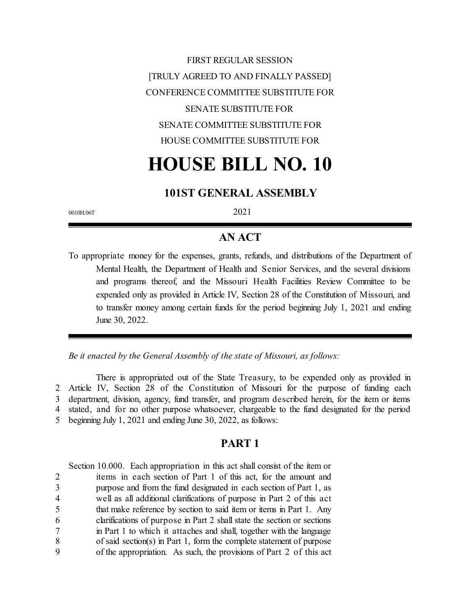FIRST REGULAR SESSION [TRULY AGREED TO AND FINALLY PASSED] CONFERENCE COMMITTEE SUBSTITUTE FOR SENATE SUBSTITUTE FOR SENATE COMMITTEE SUBSTITUTE FOR HOUSE COMMITTEE SUBSTITUTE FOR

# **HOUSE BILL NO. 10**

### **101ST GENERAL ASSEMBLY**

0010H.06T 2021

# **AN ACT**

To appropriate money for the expenses, grants, refunds, and distributions of the Department of Mental Health, the Department of Health and Senior Services, and the several divisions and programs thereof, and the Missouri Health Facilities Review Committee to be expended only as provided in Article IV, Section 28 of the Constitution of Missouri, and to transfer money among certain funds for the period beginning July 1, 2021 and ending June 30, 2022.

*Be it enacted by the General Assembly of the state of Missouri, as follows:*

There is appropriated out of the State Treasury, to be expended only as provided in Article IV, Section 28 of the Constitution of Missouri for the purpose of funding each department, division, agency, fund transfer, and program described herein, for the item or items stated, and for no other purpose whatsoever, chargeable to the fund designated for the period beginning July 1, 2021 and ending June 30, 2022, as follows:

#### **PART 1**

Section 10.000. Each appropriation in this act shall consist of the item or items in each section of Part 1 of this act, for the amount and purpose and from the fund designated in each section of Part 1, as well as all additional clarifications of purpose in Part 2 of this act that make reference by section to said item or items in Part 1. Any clarifications of purpose in Part 2 shall state the section or sections in Part 1 to which it attaches and shall, together with the language of said section(s) in Part 1, form the complete statement of purpose of the appropriation. As such, the provisions of Part 2 of this act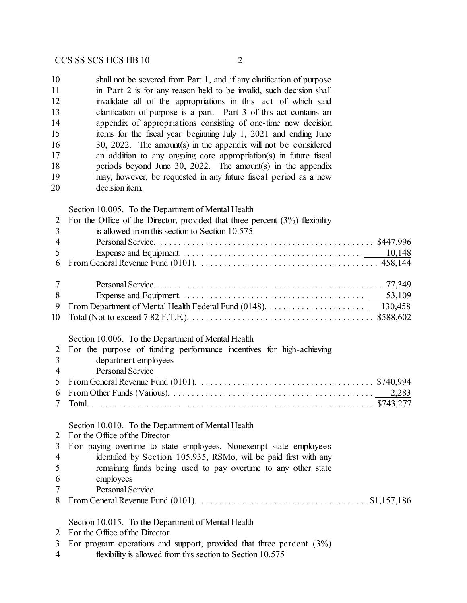| 10 | shall not be severed from Part 1, and if any clarification of purpose |
|----|-----------------------------------------------------------------------|
| 11 | in Part 2 is for any reason held to be invalid, such decision shall   |
| 12 | invalidate all of the appropriations in this act of which said        |
| 13 | clarification of purpose is a part. Part 3 of this act contains an    |
| 14 | appendix of appropriations consisting of one-time new decision        |
| 15 | items for the fiscal year beginning July 1, 2021 and ending June      |
| 16 | 30, 2022. The amount(s) in the appendix will not be considered        |
| 17 | an addition to any ongoing core appropriation(s) in future fiscal     |
| 18 | periods beyond June 30, 2022. The amount(s) in the appendix           |
| 19 | may, however, be requested in any future fiscal period as a new       |
| 20 | decision item.                                                        |
|    |                                                                       |

Section 10.005. To the Department of Mental Health

|                 | 2 For the Office of the Director, provided that three percent $(3%)$ flexibility |
|-----------------|----------------------------------------------------------------------------------|
| 3               | is allowed from this section to Section 10.575                                   |
| -4              |                                                                                  |
| $5\overline{)}$ |                                                                                  |
| 6               |                                                                                  |
|                 |                                                                                  |
|                 |                                                                                  |
| 8               |                                                                                  |
| -9              |                                                                                  |
|                 |                                                                                  |
|                 |                                                                                  |

#### Section 10.006. To the Department of Mental Health

| 2 For the purpose of funding performance incentives for high-achieving |
|------------------------------------------------------------------------|
| 3 department employees                                                 |
| 4 Personal Service                                                     |
|                                                                        |
|                                                                        |
|                                                                        |
|                                                                        |

#### Section 10.010. To the Department of Mental Health

| $\overline{2}$ |  | For the Office of the Director |
|----------------|--|--------------------------------|
|                |  |                                |

|   | 3 For paying overtime to state employees. Nonexempt state employees |
|---|---------------------------------------------------------------------|
| 4 | identified by Section 105.935, RSMo, will be paid first with any    |
| 5 | remaining funds being used to pay overtime to any other state       |
| 6 | employees                                                           |
|   | Personal Service                                                    |

From General Revenue Fund (0101). . . . . . . . . . . . . . . . . . . . . . . . . . . . . . . . . . . . . . \$1,157,186

Section 10.015. To the Department of Mental Health

- For the Office of the Director
- For program operations and support, provided that three percent (3%)
- flexibility is allowed from this section to Section 10.575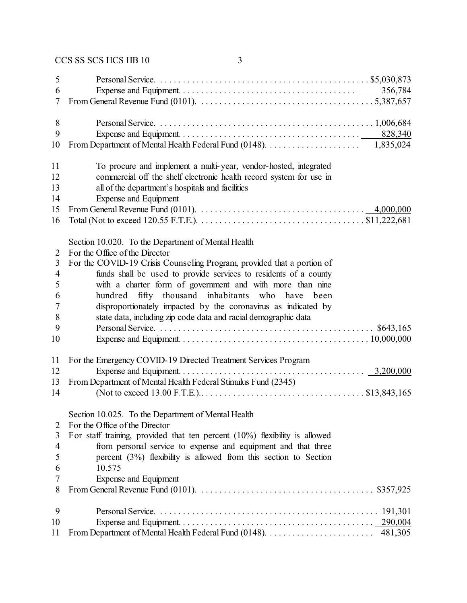| 5              |                                                                                                                                           |
|----------------|-------------------------------------------------------------------------------------------------------------------------------------------|
| 6              |                                                                                                                                           |
| 7              | From General Revenue Fund (0101). $\ldots \ldots \ldots \ldots \ldots \ldots \ldots \ldots \ldots \ldots \ldots \ldots \ldots$ 5,387,657  |
| 8              |                                                                                                                                           |
| 9              |                                                                                                                                           |
| 10             | 1,835,024                                                                                                                                 |
| 11             | To procure and implement a multi-year, vendor-hosted, integrated                                                                          |
| 12             | commercial off the shelf electronic health record system for use in                                                                       |
| 13             | all of the department's hospitals and facilities                                                                                          |
| 14             | <b>Expense and Equipment</b>                                                                                                              |
| 15             | 4,000,000                                                                                                                                 |
| 16             | Total (Not to exceed 120.55 F.T.E.). $\dots \dots \dots \dots \dots \dots \dots \dots \dots \dots \dots \dots \dots \dots \$ \$11,222,681 |
|                | Section 10.020. To the Department of Mental Health                                                                                        |
| $\overline{2}$ | For the Office of the Director                                                                                                            |
| 3              | For the COVID-19 Crisis Counseling Program, provided that a portion of                                                                    |
| $\overline{4}$ | funds shall be used to provide services to residents of a county                                                                          |
| 5              | with a charter form of government and with more than nine                                                                                 |
| 6              | hundred fifty thousand inhabitants who have been                                                                                          |
| 7              | disproportionately impacted by the coronavirus as indicated by                                                                            |
| 8              | state data, including zip code data and racial demographic data                                                                           |
| 9<br>10        |                                                                                                                                           |
| 11             | For the Emergency COVID-19 Directed Treatment Services Program                                                                            |
| 12             |                                                                                                                                           |
| 13             | From Department of Mental Health Federal Stimulus Fund (2345)                                                                             |
| 14             |                                                                                                                                           |
|                | Section 10.025. To the Department of Mental Health                                                                                        |
| 2              | For the Office of the Director                                                                                                            |
| 3              | For staff training, provided that ten percent $(10\%)$ flexibility is allowed                                                             |
| $\overline{4}$ | from personal service to expense and equipment and that three                                                                             |
| 5              | percent $(3%)$ flexibility is allowed from this section to Section                                                                        |
| 6              | 10.575                                                                                                                                    |
| 7              | <b>Expense and Equipment</b>                                                                                                              |
| 8              | From General Revenue Fund (0101). $\ldots \ldots \ldots \ldots \ldots \ldots \ldots \ldots \ldots \ldots \ldots$ \$357,925                |
| 9              |                                                                                                                                           |
| 10             |                                                                                                                                           |
| 11             | 481,305                                                                                                                                   |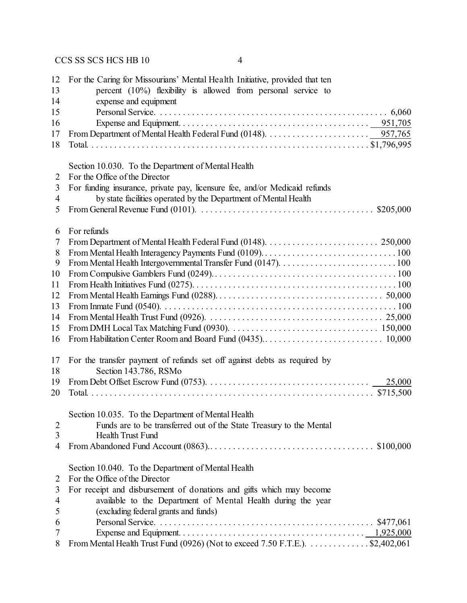| 12                  | For the Caring for Missourians' Mental Health Initiative, provided that ten                                             |
|---------------------|-------------------------------------------------------------------------------------------------------------------------|
| 13                  | percent $(10\%)$ flexibility is allowed from personal service to                                                        |
| 14                  | expense and equipment                                                                                                   |
| 15                  |                                                                                                                         |
| 16                  |                                                                                                                         |
| 17                  | From Department of Mental Health Federal Fund (0148). $\ldots \ldots \ldots \ldots \ldots \ldots \ldots \ldots$ 957,765 |
| 18                  |                                                                                                                         |
|                     |                                                                                                                         |
| 2                   | Section 10.030. To the Department of Mental Health<br>For the Office of the Director                                    |
| 3                   | For funding insurance, private pay, licensure fee, and/or Medicaid refunds                                              |
| 4                   | by state facilities operated by the Department of Mental Health                                                         |
| 5                   |                                                                                                                         |
|                     | From General Revenue Fund (0101). $\ldots \ldots \ldots \ldots \ldots \ldots \ldots \ldots \ldots \ldots$ \$205,000     |
| 6                   | For refunds                                                                                                             |
| $\overline{7}$      |                                                                                                                         |
| 8                   |                                                                                                                         |
| 9                   |                                                                                                                         |
| 10                  |                                                                                                                         |
| 11                  |                                                                                                                         |
| 12                  |                                                                                                                         |
| 13                  |                                                                                                                         |
| 14                  |                                                                                                                         |
| 15                  |                                                                                                                         |
| 16                  |                                                                                                                         |
| 17                  | For the transfer payment of refunds set off against debts as required by                                                |
| 18                  | Section 143.786, RSMo                                                                                                   |
| 19                  |                                                                                                                         |
| 20                  |                                                                                                                         |
|                     | Section 10.035. To the Department of Mental Health                                                                      |
|                     | Funds are to be transferred out of the State Treasury to the Mental                                                     |
| $\overline{2}$<br>3 | <b>Health Trust Fund</b>                                                                                                |
| 4                   |                                                                                                                         |
|                     |                                                                                                                         |
|                     | Section 10.040. To the Department of Mental Health                                                                      |
| 2                   | For the Office of the Director                                                                                          |
| 3                   | For receipt and disbursement of donations and gifts which may become                                                    |
| 4                   | available to the Department of Mental Health during the year                                                            |
| 5                   | (excluding federal grants and funds)                                                                                    |
| 6                   |                                                                                                                         |
| 7                   |                                                                                                                         |
| 8                   | From Mental Health Trust Fund (0926) (Not to exceed 7.50 F.T.E.). \$2,402,061                                           |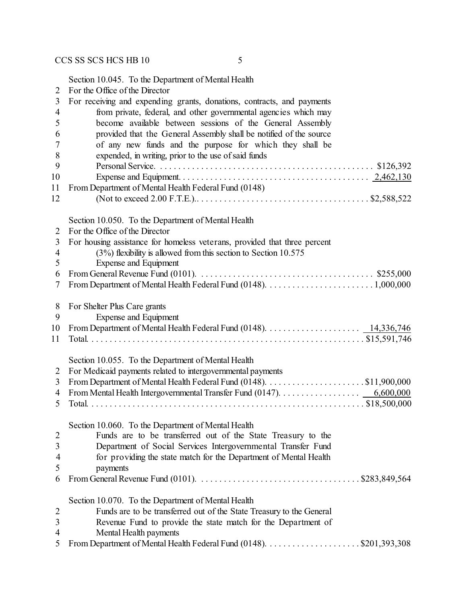Section 10.045. To the Department of Mental Health

| $\overline{2}$ | For the Office of the Director                                                                                                                                |
|----------------|---------------------------------------------------------------------------------------------------------------------------------------------------------------|
| 3              | For receiving and expending grants, donations, contracts, and payments                                                                                        |
| 4              | from private, federal, and other governmental agencies which may                                                                                              |
| 5              | become available between sessions of the General Assembly                                                                                                     |
| 6              | provided that the General Assembly shall be notified of the source                                                                                            |
| 7              | of any new funds and the purpose for which they shall be                                                                                                      |
| 8              | expended, in writing, prior to the use of said funds                                                                                                          |
| 9              |                                                                                                                                                               |
| 10             |                                                                                                                                                               |
| 11             | From Department of Mental Health Federal Fund (0148)                                                                                                          |
| 12             |                                                                                                                                                               |
|                |                                                                                                                                                               |
|                | Section 10.050. To the Department of Mental Health                                                                                                            |
| 2              | For the Office of the Director                                                                                                                                |
| 3              | For housing assistance for homeless veterans, provided that three percent                                                                                     |
| $\overline{4}$ | $(3%)$ flexibility is allowed from this section to Section 10.575                                                                                             |
| 5              | <b>Expense and Equipment</b>                                                                                                                                  |
| 6              | From General Revenue Fund (0101). $\ldots \ldots \ldots \ldots \ldots \ldots \ldots \ldots \ldots \ldots$ \$255,000                                           |
| 7              |                                                                                                                                                               |
|                |                                                                                                                                                               |
| 8              | For Shelter Plus Care grants                                                                                                                                  |
| 9              | Expense and Equipment                                                                                                                                         |
| 10             | From Department of Mental Health Federal Fund (0148). $\dots \dots \dots \dots \dots \dots \dots \dots \dots \dots \dots \dots \dots \dots \dots \dots \dots$ |
| 11             |                                                                                                                                                               |
|                |                                                                                                                                                               |
|                | Section 10.055. To the Department of Mental Health                                                                                                            |
| 2              | For Medicaid payments related to intergovernmental payments                                                                                                   |
| 3              |                                                                                                                                                               |
| 4              |                                                                                                                                                               |
| 5              |                                                                                                                                                               |
|                |                                                                                                                                                               |
|                | Section 10.060. To the Department of Mental Health                                                                                                            |
| $\overline{2}$ | Funds are to be transferred out of the State Treasury to the                                                                                                  |
| 3              | Department of Social Services Intergovernmental Transfer Fund                                                                                                 |
| $\overline{4}$ | for providing the state match for the Department of Mental Health                                                                                             |
| 5              | payments                                                                                                                                                      |
| 6              | From General Revenue Fund (0101). $\ldots \ldots \ldots \ldots \ldots \ldots \ldots \ldots \ldots \ldots$ . \$283,849,564                                     |
|                |                                                                                                                                                               |
|                | Section 10.070. To the Department of Mental Health                                                                                                            |
| $\overline{2}$ | Funds are to be transferred out of the State Treasury to the General                                                                                          |
| 3              | Revenue Fund to provide the state match for the Department of                                                                                                 |
| 4              | Mental Health payments                                                                                                                                        |
| 5              |                                                                                                                                                               |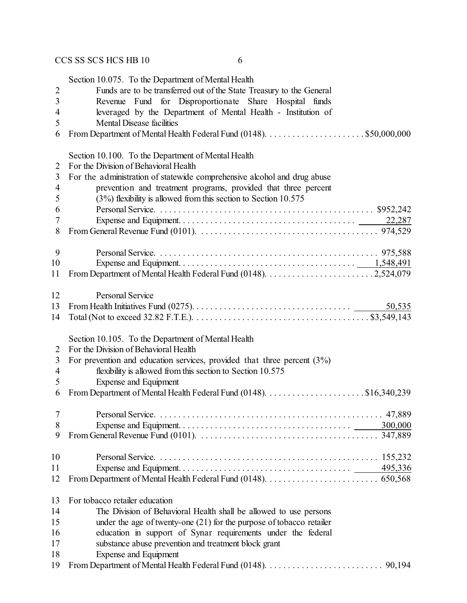|                | Section 10.075. To the Department of Mental Health                                                                                     |
|----------------|----------------------------------------------------------------------------------------------------------------------------------------|
| $\mathbf{2}$   | Funds are to be transferred out of the State Treasury to the General                                                                   |
| 3              | Revenue Fund for Disproportionate Share Hospital funds                                                                                 |
| 4              | leveraged by the Department of Mental Health - Institution of                                                                          |
| 5              | <b>Mental Disease facilities</b>                                                                                                       |
| 6              |                                                                                                                                        |
|                | Section 10.100. To the Department of Mental Health                                                                                     |
| $\overline{2}$ | For the Division of Behavioral Health                                                                                                  |
| 3              | For the administration of statewide comprehensive alcohol and drug abuse                                                               |
| $\overline{4}$ | prevention and treatment programs, provided that three percent                                                                         |
| 5              | (3%) flexibility is allowed from this section to Section 10.575                                                                        |
| 6              |                                                                                                                                        |
| 7              |                                                                                                                                        |
| 8              |                                                                                                                                        |
| 9              |                                                                                                                                        |
| 10             |                                                                                                                                        |
| 11             |                                                                                                                                        |
| 12             | <b>Personal Service</b>                                                                                                                |
| 13             | 50,535                                                                                                                                 |
| 14             | Total (Not to exceed 32.82 F.T.E.). $\dots \dots \dots \dots \dots \dots \dots \dots \dots \dots \dots \dots \dots \$ \$3,549,143      |
|                | Section 10.105. To the Department of Mental Health                                                                                     |
| $\overline{2}$ | For the Division of Behavioral Health                                                                                                  |
| 3              | For prevention and education services, provided that three percent $(3%)$                                                              |
| $\overline{4}$ | flexibility is allowed from this section to Section 10.575                                                                             |
| 5              | <b>Expense and Equipment</b>                                                                                                           |
| 6              |                                                                                                                                        |
| $\tau$         | <b>Personal Service</b>                                                                                                                |
| 8              |                                                                                                                                        |
| 9              | From General Revenue Fund (0101). $\ldots \ldots \ldots \ldots \ldots \ldots \ldots \ldots \ldots \ldots \ldots \ldots \ldots$ 347,889 |
| 10             |                                                                                                                                        |
| 11             |                                                                                                                                        |
| 12             |                                                                                                                                        |
| 13             | For tobacco retailer education                                                                                                         |
| 14             | The Division of Behavioral Health shall be allowed to use persons                                                                      |
| 15             | under the age of twenty-one $(21)$ for the purpose of tobacco retailer                                                                 |
| 16             | education in support of Synar requirements under the federal                                                                           |
| 17             | substance abuse prevention and treatment block grant                                                                                   |
| 18             | <b>Expense and Equipment</b>                                                                                                           |

From Department of Mental Health Federal Fund (0148). . . . . . . . . . . . . . . . . . . . . . . . . . 90,194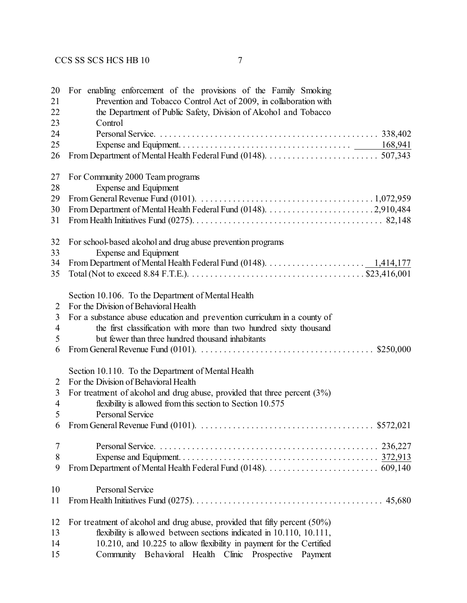| 20<br>21<br>22<br>23 | For enabling enforcement of the provisions of the Family Smoking<br>Prevention and Tobacco Control Act of 2009, in collaboration with<br>the Department of Public Safety, Division of Alcohol and Tobacco<br>Control |
|----------------------|----------------------------------------------------------------------------------------------------------------------------------------------------------------------------------------------------------------------|
| 24                   |                                                                                                                                                                                                                      |
| 25                   |                                                                                                                                                                                                                      |
| 26                   |                                                                                                                                                                                                                      |
| 27                   | For Community 2000 Team programs                                                                                                                                                                                     |
| 28                   | <b>Expense and Equipment</b>                                                                                                                                                                                         |
| 29                   |                                                                                                                                                                                                                      |
| 30                   |                                                                                                                                                                                                                      |
| 31                   |                                                                                                                                                                                                                      |
| 32                   | For school-based alcohol and drug abuse prevention programs                                                                                                                                                          |
| 33                   | <b>Expense and Equipment</b>                                                                                                                                                                                         |
| 34                   |                                                                                                                                                                                                                      |
| 35                   |                                                                                                                                                                                                                      |
|                      | Section 10.106. To the Department of Mental Health                                                                                                                                                                   |
| 2                    | For the Division of Behavioral Health                                                                                                                                                                                |
| 3                    | For a substance abuse education and prevention curriculum in a county of                                                                                                                                             |
| 4                    | the first classification with more than two hundred sixty thousand                                                                                                                                                   |
| 5                    | but fewer than three hundred thousand inhabitants                                                                                                                                                                    |
| 6                    | From General Revenue Fund (0101). $\ldots \ldots \ldots \ldots \ldots \ldots \ldots \ldots \ldots \ldots \ldots$ \$250,000                                                                                           |
|                      | Section 10.110. To the Department of Mental Health                                                                                                                                                                   |
| 2                    | For the Division of Behavioral Health                                                                                                                                                                                |
| 3<br>$\overline{4}$  | For treatment of alcohol and drug abuse, provided that three percent $(3%)$<br>flexibility is allowed from this section to Section 10.575                                                                            |
| 5                    | Personal Service                                                                                                                                                                                                     |
| 6                    | From General Revenue Fund (0101). $\ldots \ldots \ldots \ldots \ldots \ldots \ldots \ldots \ldots \ldots \ldots \ldots$ \$572,021                                                                                    |
| 7                    |                                                                                                                                                                                                                      |
| 8                    |                                                                                                                                                                                                                      |
| 9                    |                                                                                                                                                                                                                      |
| 10                   | <b>Personal Service</b>                                                                                                                                                                                              |
| 11                   |                                                                                                                                                                                                                      |
| 12                   | For treatment of alcohol and drug abuse, provided that fifty percent $(50\%)$                                                                                                                                        |
| 13                   | flexibility is allowed between sections indicated in 10.110, 10.111,                                                                                                                                                 |
| 14                   | 10.210, and 10.225 to allow flexibility in payment for the Certified                                                                                                                                                 |
| 15                   | Community Behavioral Health Clinic Prospective<br>Payment                                                                                                                                                            |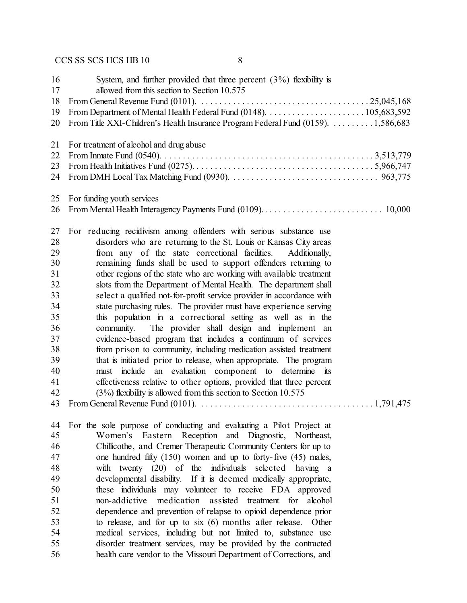| 16<br>17<br>18<br>19<br>20                                                                         | System, and further provided that three percent $(3\%)$ flexibility is<br>allowed from this section to Section 10.575<br>From Title XXI-Children's Health Insurance Program Federal Fund (0159). 1,586,683                                                                                                                                                                                                                                                                                                                                                                                                                                                                                                                                                                                                                                                                                                                                                                                                                                                                                                           |
|----------------------------------------------------------------------------------------------------|----------------------------------------------------------------------------------------------------------------------------------------------------------------------------------------------------------------------------------------------------------------------------------------------------------------------------------------------------------------------------------------------------------------------------------------------------------------------------------------------------------------------------------------------------------------------------------------------------------------------------------------------------------------------------------------------------------------------------------------------------------------------------------------------------------------------------------------------------------------------------------------------------------------------------------------------------------------------------------------------------------------------------------------------------------------------------------------------------------------------|
| 21<br>22<br>23<br>24                                                                               | For treatment of alcohol and drug abuse                                                                                                                                                                                                                                                                                                                                                                                                                                                                                                                                                                                                                                                                                                                                                                                                                                                                                                                                                                                                                                                                              |
| 25<br>26                                                                                           | For funding youth services                                                                                                                                                                                                                                                                                                                                                                                                                                                                                                                                                                                                                                                                                                                                                                                                                                                                                                                                                                                                                                                                                           |
| 27<br>28<br>29<br>30<br>31<br>32<br>33<br>34<br>35<br>36<br>37<br>38<br>39<br>40<br>41<br>42<br>43 | For reducing recidivism among offenders with serious substance use<br>disorders who are returning to the St. Louis or Kansas City areas<br>from any of the state correctional facilities.<br>Additionally,<br>remaining funds shall be used to support offenders returning to<br>other regions of the state who are working with available treatment<br>slots from the Department of Mental Health. The department shall<br>select a qualified not-for-profit service provider in accordance with<br>state purchasing rules. The provider must have experience serving<br>this population in a correctional setting as well as in the<br>The provider shall design and implement an<br>community.<br>evidence-based program that includes a continuum of services<br>from prison to community, including medication assisted treatment<br>that is initiated prior to release, when appropriate. The program<br>include an evaluation component to determine its<br>must<br>effectiveness relative to other options, provided that three percent<br>$(3%)$ flexibility is allowed from this section to Section 10.575 |
| 44<br>45                                                                                           | For the sole purpose of conducting and evaluating a Pilot Project at                                                                                                                                                                                                                                                                                                                                                                                                                                                                                                                                                                                                                                                                                                                                                                                                                                                                                                                                                                                                                                                 |
| 46                                                                                                 | Women's Eastern Reception and Diagnostic, Northeast,<br>Chillicothe, and Cremer Therapeutic Community Centers for up to                                                                                                                                                                                                                                                                                                                                                                                                                                                                                                                                                                                                                                                                                                                                                                                                                                                                                                                                                                                              |
| 47                                                                                                 |                                                                                                                                                                                                                                                                                                                                                                                                                                                                                                                                                                                                                                                                                                                                                                                                                                                                                                                                                                                                                                                                                                                      |
| 48                                                                                                 | one hundred fifty $(150)$ women and up to forty-five $(45)$ males,<br>with twenty $(20)$ of the individuals<br>selected<br>having a                                                                                                                                                                                                                                                                                                                                                                                                                                                                                                                                                                                                                                                                                                                                                                                                                                                                                                                                                                                  |
| 49                                                                                                 | developmental disability. If it is deemed medically appropriate,                                                                                                                                                                                                                                                                                                                                                                                                                                                                                                                                                                                                                                                                                                                                                                                                                                                                                                                                                                                                                                                     |
| 50                                                                                                 | these individuals may volunteer to receive FDA approved                                                                                                                                                                                                                                                                                                                                                                                                                                                                                                                                                                                                                                                                                                                                                                                                                                                                                                                                                                                                                                                              |
| 51                                                                                                 | non-addictive<br>medication assisted treatment for alcohol                                                                                                                                                                                                                                                                                                                                                                                                                                                                                                                                                                                                                                                                                                                                                                                                                                                                                                                                                                                                                                                           |
| 52                                                                                                 | dependence and prevention of relapse to opioid dependence prior                                                                                                                                                                                                                                                                                                                                                                                                                                                                                                                                                                                                                                                                                                                                                                                                                                                                                                                                                                                                                                                      |
| 53                                                                                                 | to release, and for up to six (6) months after release. Other                                                                                                                                                                                                                                                                                                                                                                                                                                                                                                                                                                                                                                                                                                                                                                                                                                                                                                                                                                                                                                                        |
| 54                                                                                                 | medical services, including but not limited to, substance use                                                                                                                                                                                                                                                                                                                                                                                                                                                                                                                                                                                                                                                                                                                                                                                                                                                                                                                                                                                                                                                        |
| 55                                                                                                 | disorder treatment services, may be provided by the contracted                                                                                                                                                                                                                                                                                                                                                                                                                                                                                                                                                                                                                                                                                                                                                                                                                                                                                                                                                                                                                                                       |
| 56                                                                                                 | health care vendor to the Missouri Department of Corrections, and                                                                                                                                                                                                                                                                                                                                                                                                                                                                                                                                                                                                                                                                                                                                                                                                                                                                                                                                                                                                                                                    |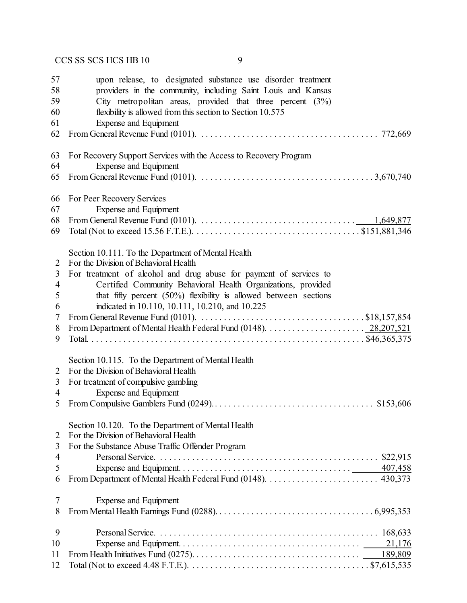| 57 | upon release, to designated substance use disorder treatment                                                                  |
|----|-------------------------------------------------------------------------------------------------------------------------------|
| 58 | providers in the community, including Saint Louis and Kansas                                                                  |
| 59 | City metropolitan areas, provided that three percent $(3%)$                                                                   |
| 60 | flexibility is allowed from this section to Section 10.575                                                                    |
| 61 | Expense and Equipment                                                                                                         |
| 62 |                                                                                                                               |
| 63 | For Recovery Support Services with the Access to Recovery Program                                                             |
| 64 | Expense and Equipment                                                                                                         |
| 65 |                                                                                                                               |
| 66 | For Peer Recovery Services                                                                                                    |
| 67 | <b>Expense and Equipment</b>                                                                                                  |
| 68 |                                                                                                                               |
| 69 |                                                                                                                               |
|    | Section 10.111. To the Department of Mental Health                                                                            |
| 2  | For the Division of Behavioral Health                                                                                         |
| 3  | For treatment of alcohol and drug abuse for payment of services to                                                            |
| 4  | Certified Community Behavioral Health Organizations, provided                                                                 |
| 5  | that fifty percent $(50\%)$ flexibility is allowed between sections                                                           |
| 6  | indicated in 10.110, 10.111, 10.210, and 10.225                                                                               |
| 7  | From General Revenue Fund (0101). $\ldots \ldots \ldots \ldots \ldots \ldots \ldots \ldots \ldots \ldots \ldots$ \$18,157,854 |
| 8  |                                                                                                                               |
| 9  |                                                                                                                               |
|    | Section 10.115. To the Department of Mental Health                                                                            |
| 2  | For the Division of Behavioral Health                                                                                         |
| 3  | For treatment of compulsive gambling                                                                                          |
| 4  | <b>Expense and Equipment</b>                                                                                                  |
| 5  |                                                                                                                               |
|    | Section 10.120. To the Department of Mental Health                                                                            |
| 2  | For the Division of Behavioral Health                                                                                         |
| 3  | For the Substance Abuse Traffic Offender Program                                                                              |
| 4  |                                                                                                                               |
| 5  |                                                                                                                               |
| 6  |                                                                                                                               |
| 7  | Expense and Equipment                                                                                                         |
| 8  |                                                                                                                               |
| 9  |                                                                                                                               |
| 10 |                                                                                                                               |
| 11 |                                                                                                                               |
| 12 |                                                                                                                               |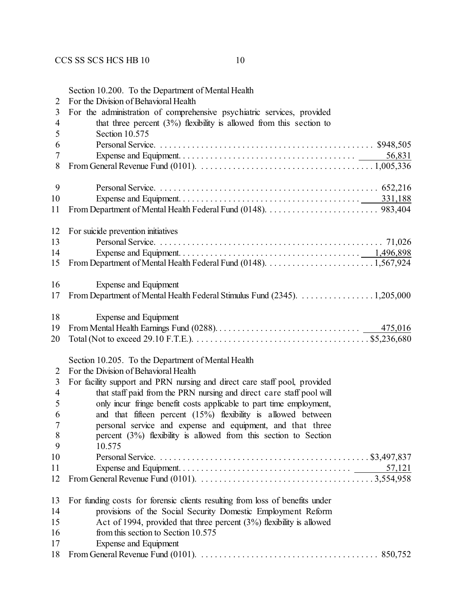|                     | Section 10.200. To the Department of Mental Health                                                                                          |  |  |  |  |
|---------------------|---------------------------------------------------------------------------------------------------------------------------------------------|--|--|--|--|
| $\overline{2}$      | For the Division of Behavioral Health                                                                                                       |  |  |  |  |
| 3                   | For the administration of comprehensive psychiatric services, provided                                                                      |  |  |  |  |
| 4                   | that three percent $(3\%)$ flexibility is allowed from this section to                                                                      |  |  |  |  |
| 5                   | Section 10.575                                                                                                                              |  |  |  |  |
| 6                   | Personal Service.                                                                                                                           |  |  |  |  |
| 7                   |                                                                                                                                             |  |  |  |  |
| 8                   |                                                                                                                                             |  |  |  |  |
| 9                   |                                                                                                                                             |  |  |  |  |
| 10                  |                                                                                                                                             |  |  |  |  |
| 11                  |                                                                                                                                             |  |  |  |  |
| 12                  | For suicide prevention initiatives                                                                                                          |  |  |  |  |
| 13                  |                                                                                                                                             |  |  |  |  |
| 14                  |                                                                                                                                             |  |  |  |  |
| 15                  |                                                                                                                                             |  |  |  |  |
| 16                  | Expense and Equipment                                                                                                                       |  |  |  |  |
| 17                  | From Department of Mental Health Federal Stimulus Fund (2345). 1,205,000                                                                    |  |  |  |  |
| 18                  | Expense and Equipment                                                                                                                       |  |  |  |  |
| 19                  |                                                                                                                                             |  |  |  |  |
| 20                  |                                                                                                                                             |  |  |  |  |
|                     | Section 10.205. To the Department of Mental Health                                                                                          |  |  |  |  |
| $\overline{2}$      | For the Division of Behavioral Health                                                                                                       |  |  |  |  |
| 3                   | For facility support and PRN nursing and direct care staff pool, provided                                                                   |  |  |  |  |
| $\overline{4}$<br>5 | that staff paid from the PRN nursing and direct care staff pool will<br>only incur fringe benefit costs applicable to part time employment, |  |  |  |  |
| 6                   | and that fifteen percent $(15%)$ flexibility is allowed between                                                                             |  |  |  |  |
| $\overline{7}$      | personal service and expense and equipment, and that three                                                                                  |  |  |  |  |
| 8                   | percent $(3\%)$ flexibility is allowed from this section to Section                                                                         |  |  |  |  |
| 9                   | 10.575                                                                                                                                      |  |  |  |  |
| 10                  |                                                                                                                                             |  |  |  |  |
| 11                  | 57,121                                                                                                                                      |  |  |  |  |
| 12                  |                                                                                                                                             |  |  |  |  |
| 13                  | For funding costs for forensic clients resulting from loss of benefits under                                                                |  |  |  |  |
| 14                  | provisions of the Social Security Domestic Employment Reform                                                                                |  |  |  |  |
| 15                  | Act of 1994, provided that three percent $(3%)$ flexibility is allowed                                                                      |  |  |  |  |
| 16                  | from this section to Section 10.575                                                                                                         |  |  |  |  |
| 17                  | <b>Expense and Equipment</b>                                                                                                                |  |  |  |  |

From General Revenue Fund (0101). . . . . . . . . . . . . . . . . . . . . . . . . . . . . . . . . . . . . . . . 850,752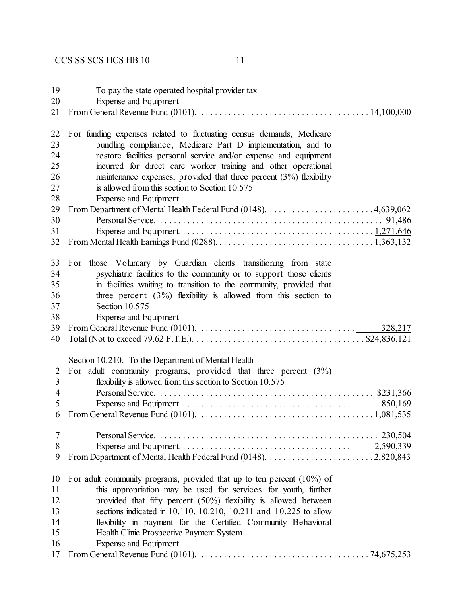| 19<br>20<br>21                         | To pay the state operated hospital provider tax<br><b>Expense and Equipment</b><br>From General Revenue Fund (0101). $\ldots \ldots \ldots \ldots \ldots \ldots \ldots \ldots \ldots \ldots \ldots \ldots 14,100,000$                                                                                                                                                                                                        |
|----------------------------------------|------------------------------------------------------------------------------------------------------------------------------------------------------------------------------------------------------------------------------------------------------------------------------------------------------------------------------------------------------------------------------------------------------------------------------|
| 22<br>23<br>24<br>25<br>26<br>27<br>28 | For funding expenses related to fluctuating census demands, Medicare<br>bundling compliance, Medicare Part D implementation, and to<br>restore facilities personal service and/or expense and equipment<br>incurred for direct care worker training and other operational<br>maintenance expenses, provided that three percent $(3%)$ flexibility<br>is allowed from this section to Section 10.575<br>Expense and Equipment |
| 29                                     |                                                                                                                                                                                                                                                                                                                                                                                                                              |
| 30                                     |                                                                                                                                                                                                                                                                                                                                                                                                                              |
| 31<br>32                               |                                                                                                                                                                                                                                                                                                                                                                                                                              |
| 33                                     | For those Voluntary by Guardian clients transitioning from state                                                                                                                                                                                                                                                                                                                                                             |
| 34                                     | psychiatric facilities to the community or to support those clients                                                                                                                                                                                                                                                                                                                                                          |
| 35                                     | in facilities waiting to transition to the community, provided that                                                                                                                                                                                                                                                                                                                                                          |
| 36                                     | three percent $(3\%)$ flexibility is allowed from this section to                                                                                                                                                                                                                                                                                                                                                            |
| 37                                     | Section 10.575                                                                                                                                                                                                                                                                                                                                                                                                               |
| 38                                     | Expense and Equipment                                                                                                                                                                                                                                                                                                                                                                                                        |
| 39                                     | From General Revenue Fund (0101). $\ldots \ldots \ldots \ldots \ldots \ldots \ldots \ldots \ldots \ldots$<br>328,217                                                                                                                                                                                                                                                                                                         |
| 40                                     | Total (Not to exceed 79.62 F.T.E.). $\dots \dots \dots \dots \dots \dots \dots \dots \dots \dots \dots \dots \dots \dots \dots$ \$24,836,121                                                                                                                                                                                                                                                                                 |
|                                        | Section 10.210. To the Department of Mental Health                                                                                                                                                                                                                                                                                                                                                                           |
| $\overline{2}$                         | For adult community programs, provided that three percent $(3%)$                                                                                                                                                                                                                                                                                                                                                             |
| $\overline{3}$                         | flexibility is allowed from this section to Section 10.575                                                                                                                                                                                                                                                                                                                                                                   |
| 4                                      |                                                                                                                                                                                                                                                                                                                                                                                                                              |
| 5                                      |                                                                                                                                                                                                                                                                                                                                                                                                                              |
| 6                                      |                                                                                                                                                                                                                                                                                                                                                                                                                              |
| 7                                      |                                                                                                                                                                                                                                                                                                                                                                                                                              |
| 8                                      |                                                                                                                                                                                                                                                                                                                                                                                                                              |
| 9                                      |                                                                                                                                                                                                                                                                                                                                                                                                                              |
| 10                                     | For adult community programs, provided that up to ten percent $(10\%)$ of                                                                                                                                                                                                                                                                                                                                                    |
| 11                                     | this appropriation may be used for services for youth, further                                                                                                                                                                                                                                                                                                                                                               |
| 12                                     | provided that fifty percent (50%) flexibility is allowed between                                                                                                                                                                                                                                                                                                                                                             |
| 13                                     | sections indicated in 10.110, 10.210, 10.211 and 10.225 to allow                                                                                                                                                                                                                                                                                                                                                             |
| 14                                     | flexibility in payment for the Certified Community Behavioral                                                                                                                                                                                                                                                                                                                                                                |
| 15                                     | Health Clinic Prospective Payment System                                                                                                                                                                                                                                                                                                                                                                                     |
| 16                                     | <b>Expense and Equipment</b>                                                                                                                                                                                                                                                                                                                                                                                                 |
| 17                                     |                                                                                                                                                                                                                                                                                                                                                                                                                              |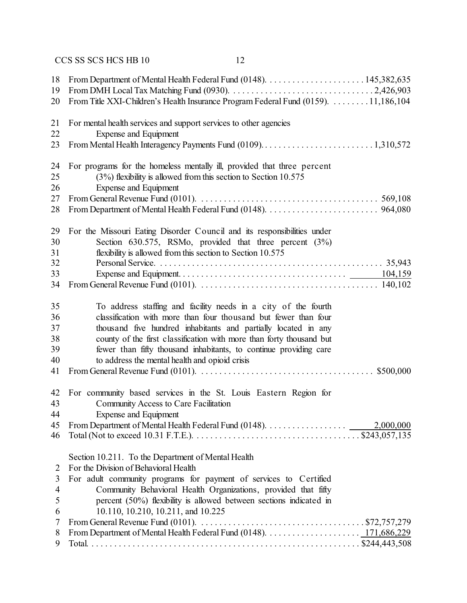| 18<br>19<br>20 | From Title XXI-Children's Health Insurance Program Federal Fund (0159). 11,186,104                                                     |
|----------------|----------------------------------------------------------------------------------------------------------------------------------------|
| 21             | For mental health services and support services to other agencies                                                                      |
| 22             | <b>Expense and Equipment</b>                                                                                                           |
| 23             | From Mental Health Interagency Payments Fund (0109)1,310,572                                                                           |
| 24             | For programs for the homeless mentally ill, provided that three percent                                                                |
| 25             | $(3%)$ flexibility is allowed from this section to Section 10.575                                                                      |
| 26             | <b>Expense and Equipment</b>                                                                                                           |
| 27             | From General Revenue Fund (0101). $\ldots \ldots \ldots \ldots \ldots \ldots \ldots \ldots \ldots \ldots \ldots \ldots \ldots$ 569,108 |
| 28             |                                                                                                                                        |
| 29             | For the Missouri Eating Disorder Council and its responsibilities under                                                                |
| 30             | Section $630.575$ , RSMo, provided that three percent $(3\%)$                                                                          |
| 31             | flexibility is allowed from this section to Section 10.575                                                                             |
| 32             |                                                                                                                                        |
| 33             |                                                                                                                                        |
| 34             |                                                                                                                                        |
| 35             | To address staffing and facility needs in a city of the fourth                                                                         |
| 36             | classification with more than four thousand but fewer than four                                                                        |
| 37             | thousand five hundred inhabitants and partially located in any                                                                         |
| 38             | county of the first classification with more than forty thousand but                                                                   |
| 39             | fewer than fifty thousand inhabitants, to continue providing care                                                                      |
| 40             | to address the mental health and opioid crisis                                                                                         |
| 41             |                                                                                                                                        |
|                |                                                                                                                                        |
| 42             | For community based services in the St. Louis Eastern Region for                                                                       |
| 43             | Community Access to Care Facilitation                                                                                                  |
| 44             | Expense and Equipment                                                                                                                  |
| 45             |                                                                                                                                        |
| 46             |                                                                                                                                        |
|                | Section 10.211. To the Department of Mental Health                                                                                     |
| 2              | For the Division of Behavioral Health                                                                                                  |
| 3              | For adult community programs for payment of services to Certified                                                                      |
| 4              | Community Behavioral Health Organizations, provided that fifty                                                                         |
| 5              | percent (50%) flexibility is allowed between sections indicated in                                                                     |
| 6              | 10.110, 10.210, 10.211, and 10.225                                                                                                     |
| 7              | From General Revenue Fund (0101). $\ldots \ldots \ldots \ldots \ldots \ldots \ldots \ldots \ldots \ldots \ldots$ \$72,757,279          |
| 8              |                                                                                                                                        |
| 9              |                                                                                                                                        |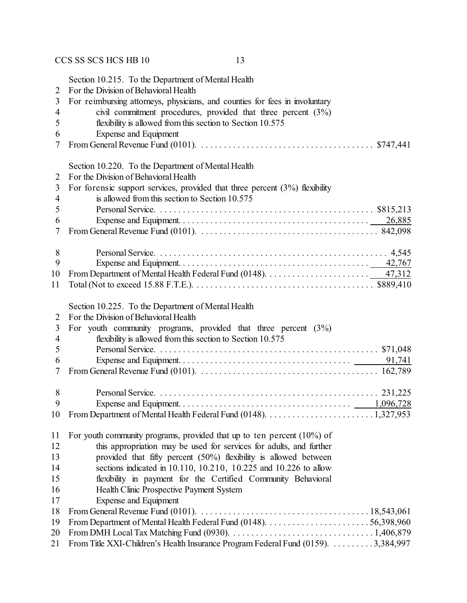| 2<br>3<br>4<br>5<br>6<br>7 | Section 10.215. To the Department of Mental Health<br>For the Division of Behavioral Health<br>For reimbursing attorneys, physicians, and counties for fees in involuntary<br>civil commitment procedures, provided that three percent (3%)<br>flexibility is allowed from this section to Section 10.575<br>Expense and Equipment |
|----------------------------|------------------------------------------------------------------------------------------------------------------------------------------------------------------------------------------------------------------------------------------------------------------------------------------------------------------------------------|
| 2                          | Section 10.220. To the Department of Mental Health                                                                                                                                                                                                                                                                                 |
| 3                          | For the Division of Behavioral Health                                                                                                                                                                                                                                                                                              |
| $\overline{\mathcal{A}}$   | For forensic support services, provided that three percent $(3%)$ flexibility                                                                                                                                                                                                                                                      |
| 5                          | is allowed from this section to Section 10.575                                                                                                                                                                                                                                                                                     |
| 6<br>7                     | From General Revenue Fund (0101). $\ldots \ldots \ldots \ldots \ldots \ldots \ldots \ldots \ldots \ldots \ldots \ldots$ 842,098                                                                                                                                                                                                    |
| 8                          |                                                                                                                                                                                                                                                                                                                                    |
| 9                          |                                                                                                                                                                                                                                                                                                                                    |
| 10                         |                                                                                                                                                                                                                                                                                                                                    |
| 11                         |                                                                                                                                                                                                                                                                                                                                    |
| 2<br>3<br>4<br>5<br>6<br>7 | Section 10.225. To the Department of Mental Health<br>For the Division of Behavioral Health<br>For youth community programs, provided that three percent $(3%)$<br>flexibility is allowed from this section to Section 10.575                                                                                                      |
| 8                          |                                                                                                                                                                                                                                                                                                                                    |
| 9                          |                                                                                                                                                                                                                                                                                                                                    |
| 10                         |                                                                                                                                                                                                                                                                                                                                    |
| 11                         | For youth community programs, provided that up to ten percent $(10\%)$ of                                                                                                                                                                                                                                                          |
| 12                         | this appropriation may be used for services for adults, and further                                                                                                                                                                                                                                                                |
| 13                         | provided that fifty percent (50%) flexibility is allowed between                                                                                                                                                                                                                                                                   |
| 14                         | sections indicated in 10.110, 10.210, 10.225 and 10.226 to allow                                                                                                                                                                                                                                                                   |
| 15                         | flexibility in payment for the Certified Community Behavioral                                                                                                                                                                                                                                                                      |
| 16                         | Health Clinic Prospective Payment System                                                                                                                                                                                                                                                                                           |
| 17                         | Expense and Equipment                                                                                                                                                                                                                                                                                                              |
| 18                         |                                                                                                                                                                                                                                                                                                                                    |
| 19                         |                                                                                                                                                                                                                                                                                                                                    |
| 20                         | From DMH Local Tax Matching Fund (0930). $\ldots \ldots \ldots \ldots \ldots \ldots \ldots \ldots \ldots \ldots 1,406,879$                                                                                                                                                                                                         |
| 21                         | From Title XXI-Children's Health Insurance Program Federal Fund (0159). 3,384,997                                                                                                                                                                                                                                                  |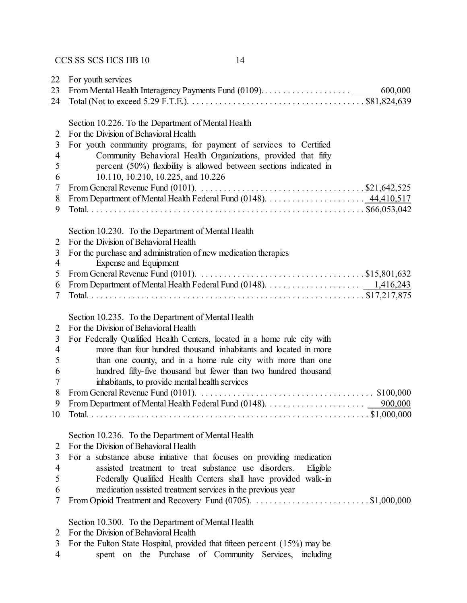| 22             | For youth services                                                                                                         |
|----------------|----------------------------------------------------------------------------------------------------------------------------|
| 23             | 600,000                                                                                                                    |
| 24             |                                                                                                                            |
|                | Section 10.226. To the Department of Mental Health                                                                         |
| 2              | For the Division of Behavioral Health                                                                                      |
| 3              | For youth community programs, for payment of services to Certified                                                         |
| $\overline{4}$ | Community Behavioral Health Organizations, provided that fifty                                                             |
| 5              | percent (50%) flexibility is allowed between sections indicated in                                                         |
| 6              | 10.110, 10.210, 10.225, and 10.226                                                                                         |
| 7              | From General Revenue Fund (0101). $\dots \dots \dots \dots \dots \dots \dots \dots \dots \dots \dots \dots$ . \$21,642,525 |
| 8              |                                                                                                                            |
| 9              |                                                                                                                            |
|                |                                                                                                                            |
|                | Section 10.230. To the Department of Mental Health                                                                         |
| $\overline{2}$ | For the Division of Behavioral Health                                                                                      |
| 3              | For the purchase and administration of new medication therapies                                                            |
| $\overline{4}$ | Expense and Equipment                                                                                                      |
| 5              |                                                                                                                            |
| 6              |                                                                                                                            |
| 7              |                                                                                                                            |
|                | Section 10.235. To the Department of Mental Health                                                                         |
| $\overline{2}$ | For the Division of Behavioral Health                                                                                      |
| 3              | For Federally Qualified Health Centers, located in a home rule city with                                                   |
| $\overline{4}$ | more than four hundred thousand inhabitants and located in more                                                            |
| 5              | than one county, and in a home rule city with more than one                                                                |
| 6              | hundred fifty-five thousand but fewer than two hundred thousand                                                            |
| 7              | inhabitants, to provide mental health services                                                                             |
| 8              |                                                                                                                            |
| 9              |                                                                                                                            |
| 10             |                                                                                                                            |
|                |                                                                                                                            |
|                | Section 10.236. To the Department of Mental Health                                                                         |
| 2              | For the Division of Behavioral Health                                                                                      |
| 3              | For a substance abuse initiative that focuses on providing medication                                                      |
| 4              | assisted treatment to treat substance use disorders.<br>Eligible                                                           |
| 5              | Federally Qualified Health Centers shall have provided walk-in                                                             |
| 6              | medication assisted treatment services in the previous year                                                                |
| 7              |                                                                                                                            |
|                | Section 10.300. To the Department of Mental Health                                                                         |
| 2              | For the Division of Behavioral Health                                                                                      |

- For the Fulton State Hospital, provided that fifteen percent (15%) may be
- spent on the Purchase of Community Services, including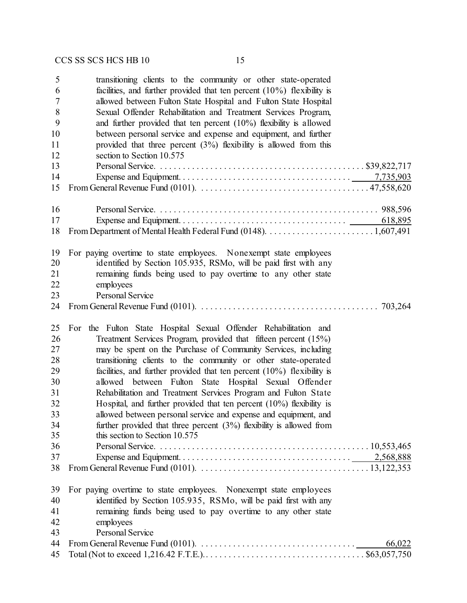| 5  | transitioning clients to the community or other state-operated                                                                            |
|----|-------------------------------------------------------------------------------------------------------------------------------------------|
| 6  | facilities, and further provided that ten percent $(10\%)$ flexibility is                                                                 |
| 7  | allowed between Fulton State Hospital and Fulton State Hospital                                                                           |
| 8  | Sexual Offender Rehabilitation and Treatment Services Program,                                                                            |
| 9  | and further provided that ten percent $(10\%)$ flexibility is allowed                                                                     |
| 10 | between personal service and expense and equipment, and further                                                                           |
| 11 | provided that three percent $(3%)$ flexibility is allowed from this                                                                       |
| 12 | section to Section 10.575                                                                                                                 |
| 13 |                                                                                                                                           |
| 14 |                                                                                                                                           |
| 15 | From General Revenue Fund (0101). $\ldots \ldots \ldots \ldots \ldots \ldots \ldots \ldots \ldots \ldots \ldots \ldots \ldots 47,558,620$ |
| 16 |                                                                                                                                           |
| 17 | 618,895                                                                                                                                   |
| 18 |                                                                                                                                           |
| 19 | For paying overtime to state employees. Nonexempt state employees                                                                         |
| 20 | identified by Section 105.935, RSMo, will be paid first with any                                                                          |
| 21 | remaining funds being used to pay overtime to any other state                                                                             |
| 22 | employees                                                                                                                                 |
| 23 | <b>Personal Service</b>                                                                                                                   |
| 24 | 703,264                                                                                                                                   |
| 25 | For the Fulton State Hospital Sexual Offender Rehabilitation and                                                                          |
| 26 | Treatment Services Program, provided that fifteen percent (15%)                                                                           |
| 27 | may be spent on the Purchase of Community Services, including                                                                             |
| 28 | transitioning clients to the community or other state-operated                                                                            |
| 29 | facilities, and further provided that ten percent $(10\%)$ flexibility is                                                                 |
| 30 | allowed between Fulton State Hospital Sexual Offender                                                                                     |
| 31 | Rehabilitation and Treatment Services Program and Fulton State                                                                            |
| 32 | Hospital, and further provided that ten percent $(10\%)$ flexibility is                                                                   |
| 33 | allowed between personal service and expense and equipment, and                                                                           |
| 34 | further provided that three percent $(3%)$ flexibility is allowed from                                                                    |
| 35 | this section to Section 10.575                                                                                                            |
| 36 |                                                                                                                                           |
| 37 |                                                                                                                                           |
| 38 |                                                                                                                                           |
| 39 | For paying overtime to state employees. Nonexempt state employees                                                                         |
| 40 | identified by Section 105.935, RSMo, will be paid first with any                                                                          |
| 41 | remaining funds being used to pay overtime to any other state                                                                             |
| 42 | employees                                                                                                                                 |
| 43 | <b>Personal Service</b>                                                                                                                   |
| 44 |                                                                                                                                           |
| 45 | From General Revenue Fund (0101). $\ldots \ldots \ldots \ldots \ldots \ldots \ldots \ldots \ldots \ldots$<br>66,022                       |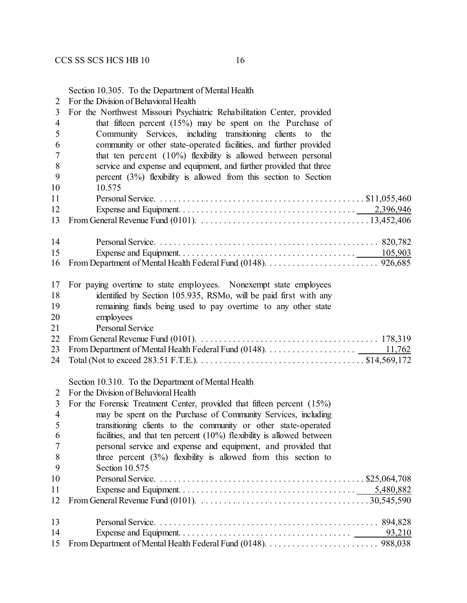|  | 2 For the Division of Behavioral Health |  |  |
|--|-----------------------------------------|--|--|
|  |                                         |  |  |

| 3              | For the Northwest Missouri Psychiatric Rehabilitation Center, provided                                                             |
|----------------|------------------------------------------------------------------------------------------------------------------------------------|
| $\overline{4}$ | that fifteen percent $(15%)$ may be spent on the Purchase of                                                                       |
| 5              | Community Services, including transitioning clients to the                                                                         |
| 6              | community or other state-operated facilities, and further provided                                                                 |
| 7              | that ten percent $(10\%)$ flexibility is allowed between personal                                                                  |
| 8              | service and expense and equipment, and further provided that three                                                                 |
| 9              | percent $(3\%)$ flexibility is allowed from this section to Section                                                                |
| 10             | 10.575                                                                                                                             |
| 11             |                                                                                                                                    |
| 12             |                                                                                                                                    |
| 13             | From General Revenue Fund (0101). $\ldots \ldots \ldots \ldots \ldots \ldots \ldots \ldots \ldots \ldots \ldots \ldots 13,452,406$ |
| 14             |                                                                                                                                    |
| 15             |                                                                                                                                    |
| 16             |                                                                                                                                    |
| 17             | For paying overtime to state employees. Nonexempt state employees                                                                  |
| 18             | identified by Section 105.935, RSMo, will be paid first with any                                                                   |
| 19             | remaining funds being used to pay overtime to any other state                                                                      |
| 20             | employees                                                                                                                          |
| 21             | Personal Service                                                                                                                   |
| 22             |                                                                                                                                    |
| 23             |                                                                                                                                    |
| 24             |                                                                                                                                    |
|                | Section 10.310. To the Department of Mental Health                                                                                 |
| 2              | For the Division of Behavioral Health                                                                                              |
| 3              | For the Forensic Treatment Center, provided that fifteen percent (15%)                                                             |
| $\overline{4}$ | may be spent on the Purchase of Community Services, including                                                                      |
| 5              | transitioning clients to the community or other state-operated                                                                     |
| 6              | facilities, and that ten percent $(10\%)$ flexibility is allowed between                                                           |
| 7              | personal service and expense and equipment, and provided that                                                                      |
| 8              | three percent $(3\%)$ flexibility is allowed from this section to                                                                  |
| 9              | Section 10.575                                                                                                                     |
| 10             |                                                                                                                                    |
| 11             |                                                                                                                                    |
| 12             |                                                                                                                                    |
| 13             |                                                                                                                                    |
| 14             |                                                                                                                                    |
| 15             |                                                                                                                                    |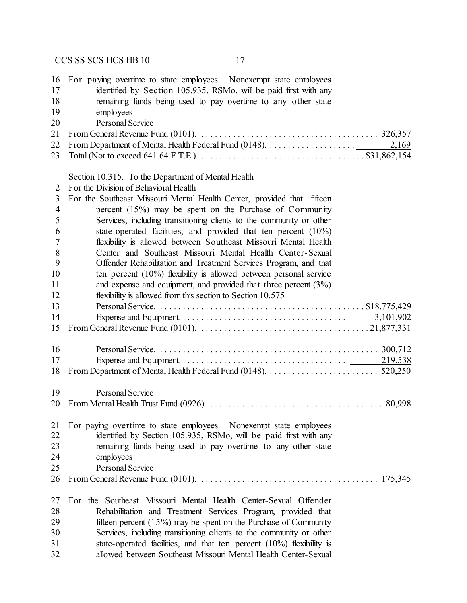| 16<br>17<br>18<br>19<br>20 | For paying overtime to state employees. Nonexempt state employees<br>identified by Section 105.935, RSMo, will be paid first with any<br>remaining funds being used to pay overtime to any other state<br>employees<br><b>Personal Service</b> |
|----------------------------|------------------------------------------------------------------------------------------------------------------------------------------------------------------------------------------------------------------------------------------------|
| 21                         |                                                                                                                                                                                                                                                |
| 22                         | 2,169                                                                                                                                                                                                                                          |
| 23                         |                                                                                                                                                                                                                                                |
|                            | Section 10.315. To the Department of Mental Health                                                                                                                                                                                             |
| 2                          | For the Division of Behavioral Health                                                                                                                                                                                                          |
| 3                          | For the Southeast Missouri Mental Health Center, provided that fifteen                                                                                                                                                                         |
| $\overline{4}$             | percent $(15%)$ may be spent on the Purchase of Community                                                                                                                                                                                      |
| 5                          | Services, including transitioning clients to the community or other                                                                                                                                                                            |
| 6                          | state-operated facilities, and provided that ten percent $(10\%)$                                                                                                                                                                              |
| 7                          | flexibility is allowed between Southeast Missouri Mental Health                                                                                                                                                                                |
| 8                          | Center and Southeast Missouri Mental Health Center-Sexual                                                                                                                                                                                      |
| 9                          | Offender Rehabilitation and Treatment Services Program, and that                                                                                                                                                                               |
| 10                         | ten percent $(10\%)$ flexibility is allowed between personal service                                                                                                                                                                           |
| 11                         | and expense and equipment, and provided that three percent $(3\%)$                                                                                                                                                                             |
| 12                         | flexibility is allowed from this section to Section 10.575                                                                                                                                                                                     |
| 13                         |                                                                                                                                                                                                                                                |
| 14                         |                                                                                                                                                                                                                                                |
| 15                         |                                                                                                                                                                                                                                                |
| 16                         |                                                                                                                                                                                                                                                |
| 17                         |                                                                                                                                                                                                                                                |
| 18                         |                                                                                                                                                                                                                                                |
| 19                         | Personal Service                                                                                                                                                                                                                               |
| 20                         |                                                                                                                                                                                                                                                |
| 21                         | For paying overtime to state employees. Nonexempt state employees                                                                                                                                                                              |
| 22                         | identified by Section 105.935, RSMo, will be paid first with any                                                                                                                                                                               |
| 23                         | remaining funds being used to pay overtime to any other state                                                                                                                                                                                  |
| 24                         | employees                                                                                                                                                                                                                                      |
| 25                         | <b>Personal Service</b>                                                                                                                                                                                                                        |
| 26                         |                                                                                                                                                                                                                                                |
| 27                         | For the Southeast Missouri Mental Health Center-Sexual Offender                                                                                                                                                                                |
| 28                         | Rehabilitation and Treatment Services Program, provided that                                                                                                                                                                                   |
| 29                         | fifteen percent $(15\%)$ may be spent on the Purchase of Community                                                                                                                                                                             |
| 30                         | Services, including transitioning clients to the community or other                                                                                                                                                                            |
| 31                         | state-operated facilities, and that ten percent $(10\%)$ flexibility is                                                                                                                                                                        |
| 32                         | allowed between Southeast Missouri Mental Health Center-Sexual                                                                                                                                                                                 |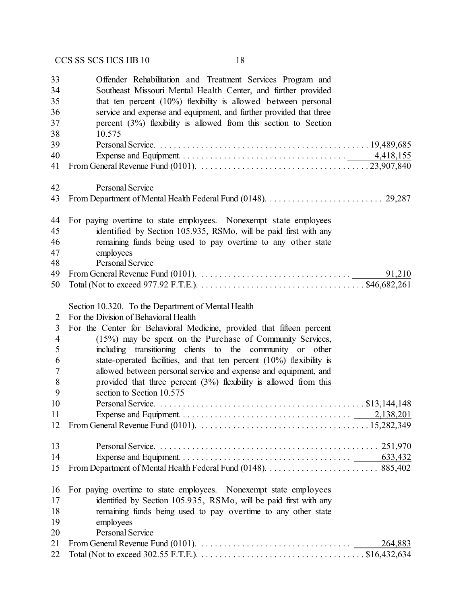| 33<br>34<br>35<br>36<br>37<br>38 | Offender Rehabilitation and Treatment Services Program and<br>Southeast Missouri Mental Health Center, and further provided<br>that ten percent $(10\%)$ flexibility is allowed between personal<br>service and expense and equipment, and further provided that three<br>percent $(3\%)$ flexibility is allowed from this section to Section<br>10.575 |
|----------------------------------|---------------------------------------------------------------------------------------------------------------------------------------------------------------------------------------------------------------------------------------------------------------------------------------------------------------------------------------------------------|
| 39                               |                                                                                                                                                                                                                                                                                                                                                         |
| 40                               |                                                                                                                                                                                                                                                                                                                                                         |
| 41                               |                                                                                                                                                                                                                                                                                                                                                         |
| 42<br>43                         | <b>Personal Service</b>                                                                                                                                                                                                                                                                                                                                 |
|                                  |                                                                                                                                                                                                                                                                                                                                                         |
| 44                               | For paying overtime to state employees. Nonexempt state employees                                                                                                                                                                                                                                                                                       |
| 45                               | identified by Section 105.935, RSMo, will be paid first with any                                                                                                                                                                                                                                                                                        |
| 46                               | remaining funds being used to pay overtime to any other state                                                                                                                                                                                                                                                                                           |
| 47                               | employees                                                                                                                                                                                                                                                                                                                                               |
| 48                               | <b>Personal Service</b>                                                                                                                                                                                                                                                                                                                                 |
| 49                               | From General Revenue Fund (0101). $\ldots \ldots \ldots \ldots \ldots \ldots \ldots \ldots \ldots \ldots$<br>91,210                                                                                                                                                                                                                                     |
| 50                               |                                                                                                                                                                                                                                                                                                                                                         |
|                                  | Section 10.320. To the Department of Mental Health                                                                                                                                                                                                                                                                                                      |
| $\overline{2}$                   | For the Division of Behavioral Health                                                                                                                                                                                                                                                                                                                   |
| 3                                | For the Center for Behavioral Medicine, provided that fifteen percent                                                                                                                                                                                                                                                                                   |
| $\overline{\mathcal{A}}$         | (15%) may be spent on the Purchase of Community Services,                                                                                                                                                                                                                                                                                               |
| 5                                | including transitioning clients to the community or other                                                                                                                                                                                                                                                                                               |
| 6                                | state-operated facilities, and that ten percent $(10\%)$ flexibility is                                                                                                                                                                                                                                                                                 |
| 7                                | allowed between personal service and expense and equipment, and                                                                                                                                                                                                                                                                                         |
| 8                                | provided that three percent $(3%)$ flexibility is allowed from this                                                                                                                                                                                                                                                                                     |
| 9                                | section to Section 10.575                                                                                                                                                                                                                                                                                                                               |
| 10                               |                                                                                                                                                                                                                                                                                                                                                         |
| 11                               |                                                                                                                                                                                                                                                                                                                                                         |
| 12                               |                                                                                                                                                                                                                                                                                                                                                         |
| 13                               |                                                                                                                                                                                                                                                                                                                                                         |
| 14                               |                                                                                                                                                                                                                                                                                                                                                         |
| 15                               |                                                                                                                                                                                                                                                                                                                                                         |
| 16                               | For paying overtime to state employees. Nonexempt state employees                                                                                                                                                                                                                                                                                       |
| 17                               | identified by Section 105.935, RSMo, will be paid first with any                                                                                                                                                                                                                                                                                        |
| 18                               | remaining funds being used to pay overtime to any other state                                                                                                                                                                                                                                                                                           |
| 19                               | employees                                                                                                                                                                                                                                                                                                                                               |
| 20                               | <b>Personal Service</b>                                                                                                                                                                                                                                                                                                                                 |
| 21                               | From General Revenue Fund (0101). $\ldots \ldots \ldots \ldots \ldots \ldots \ldots \ldots \ldots \ldots$<br>264,883                                                                                                                                                                                                                                    |
| 22                               |                                                                                                                                                                                                                                                                                                                                                         |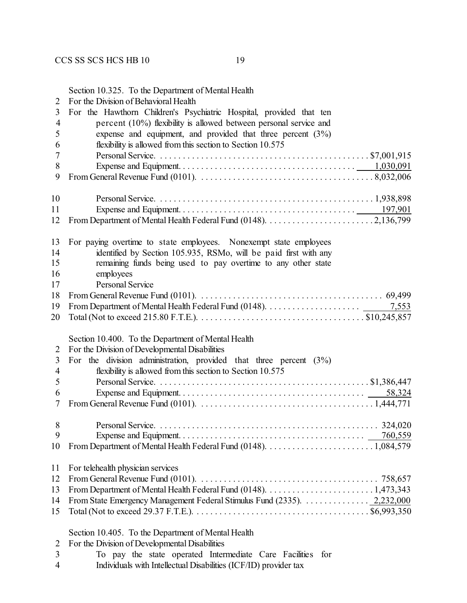|                | Section 10.325. To the Department of Mental Health                                                                                                                          |
|----------------|-----------------------------------------------------------------------------------------------------------------------------------------------------------------------------|
| 2              | For the Division of Behavioral Health                                                                                                                                       |
| 3              | For the Hawthorn Children's Psychiatric Hospital, provided that ten                                                                                                         |
| $\overline{4}$ | percent $(10\%)$ flexibility is allowed between personal service and                                                                                                        |
| 5              | expense and equipment, and provided that three percent $(3%)$                                                                                                               |
| 6              | flexibility is allowed from this section to Section 10.575                                                                                                                  |
| 7              |                                                                                                                                                                             |
| 8              |                                                                                                                                                                             |
| 9              |                                                                                                                                                                             |
|                |                                                                                                                                                                             |
| 10             |                                                                                                                                                                             |
| 11             |                                                                                                                                                                             |
| 12             |                                                                                                                                                                             |
|                |                                                                                                                                                                             |
| 13             | For paying overtime to state employees. Nonexempt state employees                                                                                                           |
| 14             | identified by Section 105.935, RSMo, will be paid first with any                                                                                                            |
| 15             | remaining funds being used to pay overtime to any other state                                                                                                               |
| 16             | employees                                                                                                                                                                   |
| 17             | <b>Personal Service</b>                                                                                                                                                     |
| 18             |                                                                                                                                                                             |
| 19             | 7,553                                                                                                                                                                       |
| 20             |                                                                                                                                                                             |
| 2<br>3         | Section 10.400. To the Department of Mental Health<br>For the Division of Developmental Disabilities<br>For the division administration, provided that three percent $(3%)$ |
| 4              | flexibility is allowed from this section to Section 10.575                                                                                                                  |
|                |                                                                                                                                                                             |
| 5              |                                                                                                                                                                             |
| 6              |                                                                                                                                                                             |
| 7              | From General Revenue Fund (0101). $\ldots \ldots \ldots \ldots \ldots \ldots \ldots \ldots \ldots \ldots \ldots \ldots 1,444,771$                                           |
| 8              |                                                                                                                                                                             |
| 9              |                                                                                                                                                                             |
| 10             |                                                                                                                                                                             |
|                |                                                                                                                                                                             |
| 11             |                                                                                                                                                                             |
|                |                                                                                                                                                                             |
|                | For telehealth physician services                                                                                                                                           |
| 12             |                                                                                                                                                                             |
| 13             |                                                                                                                                                                             |
| 14             | From State Emergency Management Federal Stimulus Fund (2335). 2,232,000                                                                                                     |
| 15             | Total (Not to exceed 29.37 F.T.E.). $\dots \dots \dots \dots \dots \dots \dots \dots \dots \dots \dots \dots \dots \$ \$6,993,350                                           |
|                | Section 10.405. To the Department of Mental Health                                                                                                                          |
| 2              | For the Division of Developmental Disabilities                                                                                                                              |
| 3              | To pay the state operated Intermediate Care Facilities<br>for                                                                                                               |

Individuals with Intellectual Disabilities (ICF/ID) provider tax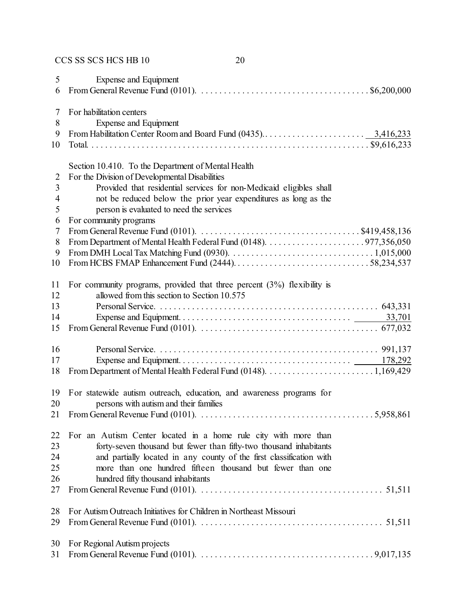| 5              | Expense and Equipment                                                                                                               |
|----------------|-------------------------------------------------------------------------------------------------------------------------------------|
| 6              | From General Revenue Fund (0101). $\ldots \ldots \ldots \ldots \ldots \ldots \ldots \ldots \ldots \ldots \ldots \ldots$ \$6,200,000 |
|                |                                                                                                                                     |
| 7              | For habilitation centers                                                                                                            |
| 8              | Expense and Equipment                                                                                                               |
| 9              |                                                                                                                                     |
| 10             |                                                                                                                                     |
|                | Section 10.410. To the Department of Mental Health                                                                                  |
| $\overline{2}$ | For the Division of Developmental Disabilities                                                                                      |
| 3              | Provided that residential services for non-Medicaid eligibles shall                                                                 |
| 4              | not be reduced below the prior year expenditures as long as the                                                                     |
| 5              | person is evaluated to need the services                                                                                            |
| 6              | For community programs                                                                                                              |
| $\tau$         |                                                                                                                                     |
| 8              |                                                                                                                                     |
| 9              |                                                                                                                                     |
| 10             |                                                                                                                                     |
| 11             | For community programs, provided that three percent $(3%)$ flexibility is                                                           |
| 12             | allowed from this section to Section 10.575                                                                                         |
| 13             |                                                                                                                                     |
| 14             |                                                                                                                                     |
| 15             |                                                                                                                                     |
|                |                                                                                                                                     |
| 16             |                                                                                                                                     |
| 17             |                                                                                                                                     |
| 18             |                                                                                                                                     |
| 19             | For statewide autism outreach, education, and awareness programs for                                                                |
| 20             | persons with autism and their families                                                                                              |
| 21             |                                                                                                                                     |
| 22             | For an Autism Center located in a home rule city with more than                                                                     |
| 23             | forty-seven thousand but fewer than fifty-two thousand inhabitants                                                                  |
| 24             | and partially located in any county of the first classification with                                                                |
| 25             | more than one hundred fifteen thousand but fewer than one                                                                           |
| 26             | hundred fifty thousand inhabitants                                                                                                  |
| 27             |                                                                                                                                     |
| 28             | For Autism Outreach Initiatives for Children in Northeast Missouri                                                                  |
| 29             |                                                                                                                                     |
|                |                                                                                                                                     |
| 30             | For Regional Autism projects                                                                                                        |
| 31             |                                                                                                                                     |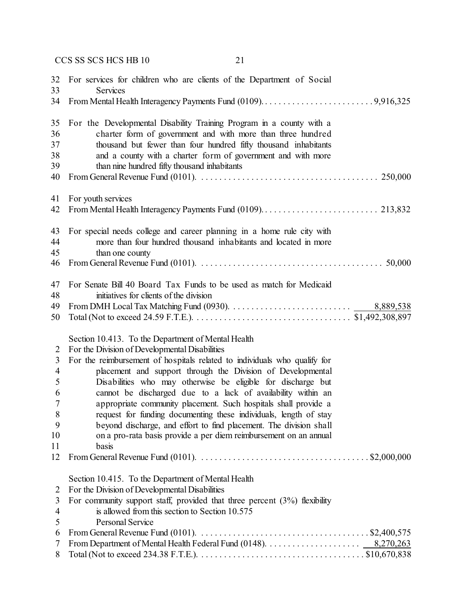| 32                                                                  | For services for children who are clients of the Department of Social                                                                                                                                                                                                                                                                                                                                                                                                                                                                                                                                                                                                                                                                                                                                        |
|---------------------------------------------------------------------|--------------------------------------------------------------------------------------------------------------------------------------------------------------------------------------------------------------------------------------------------------------------------------------------------------------------------------------------------------------------------------------------------------------------------------------------------------------------------------------------------------------------------------------------------------------------------------------------------------------------------------------------------------------------------------------------------------------------------------------------------------------------------------------------------------------|
| 33                                                                  | <b>Services</b>                                                                                                                                                                                                                                                                                                                                                                                                                                                                                                                                                                                                                                                                                                                                                                                              |
| 34                                                                  |                                                                                                                                                                                                                                                                                                                                                                                                                                                                                                                                                                                                                                                                                                                                                                                                              |
| 35                                                                  | For the Developmental Disability Training Program in a county with a                                                                                                                                                                                                                                                                                                                                                                                                                                                                                                                                                                                                                                                                                                                                         |
| 36                                                                  | charter form of government and with more than three hundred                                                                                                                                                                                                                                                                                                                                                                                                                                                                                                                                                                                                                                                                                                                                                  |
| 37                                                                  | thousand but fewer than four hundred fifty thousand inhabitants                                                                                                                                                                                                                                                                                                                                                                                                                                                                                                                                                                                                                                                                                                                                              |
| 38                                                                  | and a county with a charter form of government and with more                                                                                                                                                                                                                                                                                                                                                                                                                                                                                                                                                                                                                                                                                                                                                 |
| 39                                                                  | than nine hundred fifty thousand inhabitants                                                                                                                                                                                                                                                                                                                                                                                                                                                                                                                                                                                                                                                                                                                                                                 |
| 40                                                                  |                                                                                                                                                                                                                                                                                                                                                                                                                                                                                                                                                                                                                                                                                                                                                                                                              |
| 41                                                                  | For youth services                                                                                                                                                                                                                                                                                                                                                                                                                                                                                                                                                                                                                                                                                                                                                                                           |
| 42                                                                  |                                                                                                                                                                                                                                                                                                                                                                                                                                                                                                                                                                                                                                                                                                                                                                                                              |
| 43                                                                  | For special needs college and career planning in a home rule city with                                                                                                                                                                                                                                                                                                                                                                                                                                                                                                                                                                                                                                                                                                                                       |
| 44                                                                  | more than four hundred thousand inhabitants and located in more                                                                                                                                                                                                                                                                                                                                                                                                                                                                                                                                                                                                                                                                                                                                              |
| 45                                                                  | than one county                                                                                                                                                                                                                                                                                                                                                                                                                                                                                                                                                                                                                                                                                                                                                                                              |
| 46                                                                  | From General Revenue Fund (0101). $\ldots \ldots \ldots \ldots \ldots \ldots \ldots \ldots \ldots \ldots \ldots \ldots \ldots$ 50,000                                                                                                                                                                                                                                                                                                                                                                                                                                                                                                                                                                                                                                                                        |
| 47                                                                  | For Senate Bill 40 Board Tax Funds to be used as match for Medicaid                                                                                                                                                                                                                                                                                                                                                                                                                                                                                                                                                                                                                                                                                                                                          |
| 48                                                                  | initiatives for clients of the division                                                                                                                                                                                                                                                                                                                                                                                                                                                                                                                                                                                                                                                                                                                                                                      |
| 49                                                                  |                                                                                                                                                                                                                                                                                                                                                                                                                                                                                                                                                                                                                                                                                                                                                                                                              |
| 50                                                                  |                                                                                                                                                                                                                                                                                                                                                                                                                                                                                                                                                                                                                                                                                                                                                                                                              |
| 2<br>3<br>$\overline{4}$<br>5<br>6<br>7<br>8<br>9<br>10<br>11<br>12 | Section 10.413. To the Department of Mental Health<br>For the Division of Developmental Disabilities<br>For the reimbursement of hospitals related to individuals who qualify for<br>placement and support through the Division of Developmental<br>Disabilities who may otherwise be eligible for discharge but<br>cannot be discharged due to a lack of availability within an<br>appropriate community placement. Such hospitals shall provide a<br>request for funding documenting these individuals, length of stay<br>beyond discharge, and effort to find placement. The division shall<br>on a pro-rata basis provide a per diem reimbursement on an annual<br>basis<br>From General Revenue Fund (0101). $\ldots \ldots \ldots \ldots \ldots \ldots \ldots \ldots \ldots \ldots \ldots$ \$2,000,000 |
| 2<br>3<br>$\overline{4}$<br>5<br>6<br>7<br>8                        | Section 10.415. To the Department of Mental Health<br>For the Division of Developmental Disabilities<br>For community support staff, provided that three percent $(3%)$ flexibility<br>is allowed from this section to Section 10.575<br><b>Personal Service</b><br>From General Revenue Fund (0101). $\ldots \ldots \ldots \ldots \ldots \ldots \ldots \ldots \ldots \ldots \ldots$ \$2,400,575                                                                                                                                                                                                                                                                                                                                                                                                             |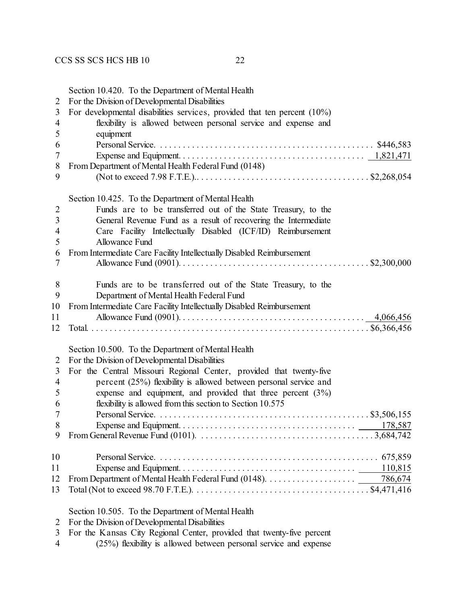|                | Section 10.420. To the Department of Mental Health                                                                                |
|----------------|-----------------------------------------------------------------------------------------------------------------------------------|
| $\overline{2}$ | For the Division of Developmental Disabilities                                                                                    |
| 3              | For developmental disabilities services, provided that ten percent $(10\%)$                                                       |
| 4              | flexibility is allowed between personal service and expense and                                                                   |
| 5              | equipment                                                                                                                         |
| 6              |                                                                                                                                   |
| 7              |                                                                                                                                   |
| 8              | From Department of Mental Health Federal Fund (0148)                                                                              |
| 9              |                                                                                                                                   |
|                | Section 10.425. To the Department of Mental Health                                                                                |
| $\overline{2}$ | Funds are to be transferred out of the State Treasury, to the                                                                     |
| 3              | General Revenue Fund as a result of recovering the Intermediate                                                                   |
| $\overline{4}$ | Care Facility Intellectually Disabled (ICF/ID) Reimbursement                                                                      |
| 5              | <b>Allowance Fund</b>                                                                                                             |
| 6              | From Intermediate Care Facility Intellectually Disabled Reimbursement                                                             |
| 7              |                                                                                                                                   |
|                |                                                                                                                                   |
| 8              | Funds are to be transferred out of the State Treasury, to the                                                                     |
| 9              | Department of Mental Health Federal Fund                                                                                          |
| 10             | From Intermediate Care Facility Intellectually Disabled Reimbursement                                                             |
| 11             |                                                                                                                                   |
| 12             |                                                                                                                                   |
|                | Section 10.500. To the Department of Mental Health                                                                                |
| $\overline{2}$ | For the Division of Developmental Disabilities                                                                                    |
| 3              | For the Central Missouri Regional Center, provided that twenty-five                                                               |
| $\overline{4}$ | percent (25%) flexibility is allowed between personal service and                                                                 |
| 5              | expense and equipment, and provided that three percent $(3%)$                                                                     |
| 6              | flexibility is allowed from this section to Section 10.575                                                                        |
| $\overline{7}$ |                                                                                                                                   |
| 8              |                                                                                                                                   |
| 9              |                                                                                                                                   |
| 10             |                                                                                                                                   |
| 11             | 110,815                                                                                                                           |
| 12             |                                                                                                                                   |
|                |                                                                                                                                   |
| 13             | Total (Not to exceed 98.70 F.T.E.). $\dots \dots \dots \dots \dots \dots \dots \dots \dots \dots \dots \dots \dots$ . \$4,471,416 |
|                | Section 10.505. To the Department of Mental Health                                                                                |
| 2              | For the Division of Developmental Disabilities                                                                                    |
| $\mathbf{r}$   | For the Kenses City Decimel Center provided that twenty five persont                                                              |

- For the Kansas City Regional Center, provided that twenty-five percent
- (25%) flexibility is allowed between personal service and expense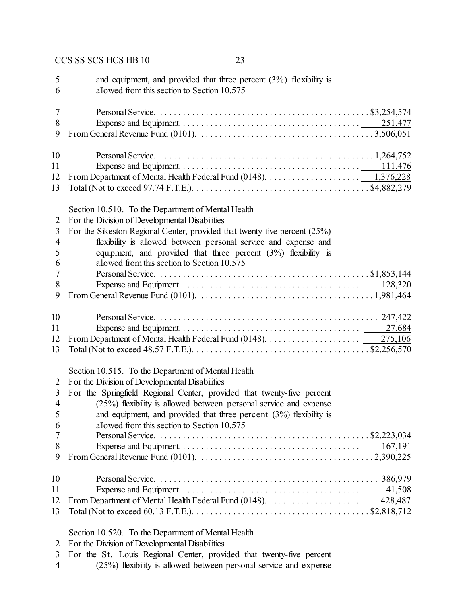| 5<br>6                   | and equipment, and provided that three percent $(3%)$ flexibility is<br>allowed from this section to Section 10.575                   |
|--------------------------|---------------------------------------------------------------------------------------------------------------------------------------|
| $\overline{7}$           |                                                                                                                                       |
| 8                        |                                                                                                                                       |
| 9                        |                                                                                                                                       |
| 10                       |                                                                                                                                       |
| 11                       |                                                                                                                                       |
| 12                       |                                                                                                                                       |
| 13                       | Total (Not to exceed 97.74 F.T.E.). $\dots \dots \dots \dots \dots \dots \dots \dots \dots \dots \dots \dots \dots \$ \$4,882,279     |
|                          | Section 10.510. To the Department of Mental Health                                                                                    |
| 2                        | For the Division of Developmental Disabilities                                                                                        |
| 3                        | For the Sikeston Regional Center, provided that twenty-five percent (25%)                                                             |
| $\overline{\mathcal{A}}$ | flexibility is allowed between personal service and expense and                                                                       |
| 5                        | equipment, and provided that three percent $(3%)$ flexibility is                                                                      |
| 6                        | allowed from this section to Section 10.575                                                                                           |
| 7                        |                                                                                                                                       |
| 8                        |                                                                                                                                       |
| 9                        |                                                                                                                                       |
| 10                       |                                                                                                                                       |
| 11                       |                                                                                                                                       |
| 12                       |                                                                                                                                       |
| 13                       | Total (Not to exceed 48.57 F.T.E.). $\dots \dots \dots \dots \dots \dots \dots \dots \dots \dots \dots \dots \dots \$ \$2,256,570     |
|                          | Section 10.515. To the Department of Mental Health                                                                                    |
| 2                        | For the Division of Developmental Disabilities                                                                                        |
| $\overline{3}$           | For the Springfield Regional Center, provided that twenty-five percent                                                                |
| $\overline{4}$           | $(25%)$ flexibility is allowed between personal service and expense                                                                   |
| 5                        | and equipment, and provided that three percent $(3%)$ flexibility is                                                                  |
| 6                        | allowed from this section to Section 10.575                                                                                           |
| 7                        |                                                                                                                                       |
| 8<br>9                   |                                                                                                                                       |
|                          |                                                                                                                                       |
| 10                       |                                                                                                                                       |
| 11                       | 41,508                                                                                                                                |
| 12                       |                                                                                                                                       |
| 13                       | Total (Not to exceed 60.13 F.T.E.). $\dots \dots \dots \dots \dots \dots \dots \dots \dots \dots \dots \dots \dots \dots$ \$2,818,712 |
|                          | Section 10.520. To the Department of Mental Health                                                                                    |
| 2                        | For the Division of Developmental Disabilities                                                                                        |
| 3                        | For the St. Louis Regional Center, provided that twenty-five percent                                                                  |

(25%) flexibility is allowed between personal service and expense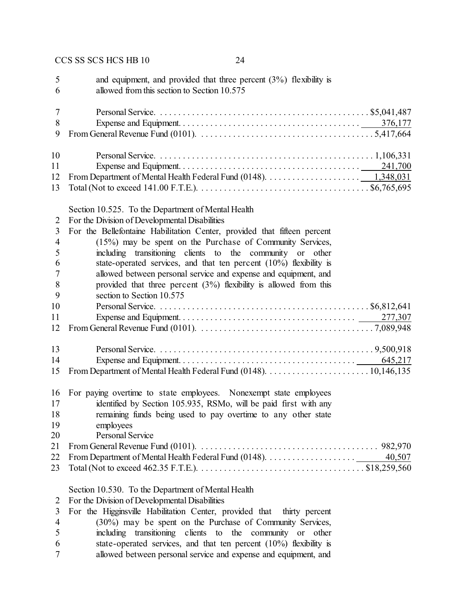| 5                                            | and equipment, and provided that three percent $(3%)$ flexibility is                                                                                                                                                                                                                                                                                                              |
|----------------------------------------------|-----------------------------------------------------------------------------------------------------------------------------------------------------------------------------------------------------------------------------------------------------------------------------------------------------------------------------------------------------------------------------------|
| 6                                            | allowed from this section to Section 10.575                                                                                                                                                                                                                                                                                                                                       |
| 7                                            |                                                                                                                                                                                                                                                                                                                                                                                   |
| 8                                            |                                                                                                                                                                                                                                                                                                                                                                                   |
| 9                                            | From General Revenue Fund (0101). $\ldots \ldots \ldots \ldots \ldots \ldots \ldots \ldots \ldots \ldots \ldots \ldots \ldots$                                                                                                                                                                                                                                                    |
| 10                                           |                                                                                                                                                                                                                                                                                                                                                                                   |
| 11                                           |                                                                                                                                                                                                                                                                                                                                                                                   |
| 12                                           | From Department of Mental Health Federal Fund (0148). $\dots \dots \dots \dots \dots \dots \dots \dots \dots \dots \dots \dots 1,348,031$                                                                                                                                                                                                                                         |
| 13                                           |                                                                                                                                                                                                                                                                                                                                                                                   |
| 2<br>3<br>$\overline{4}$<br>5                | Section 10.525. To the Department of Mental Health<br>For the Division of Developmental Disabilities<br>For the Bellefontaine Habilitation Center, provided that fifteen percent<br>(15%) may be spent on the Purchase of Community Services,<br>including transitioning clients to the<br>community or other                                                                     |
| 6                                            | state-operated services, and that ten percent $(10\%)$ flexibility is                                                                                                                                                                                                                                                                                                             |
| 7                                            | allowed between personal service and expense and equipment, and                                                                                                                                                                                                                                                                                                                   |
| 8                                            | provided that three percent $(3%)$ flexibility is allowed from this                                                                                                                                                                                                                                                                                                               |
| 9                                            | section to Section 10.575                                                                                                                                                                                                                                                                                                                                                         |
| 10                                           |                                                                                                                                                                                                                                                                                                                                                                                   |
| 11                                           |                                                                                                                                                                                                                                                                                                                                                                                   |
| 12                                           |                                                                                                                                                                                                                                                                                                                                                                                   |
| 13                                           |                                                                                                                                                                                                                                                                                                                                                                                   |
| 14                                           |                                                                                                                                                                                                                                                                                                                                                                                   |
| 15                                           |                                                                                                                                                                                                                                                                                                                                                                                   |
| 16                                           | For paying overtime to state employees. Nonexempt state employees                                                                                                                                                                                                                                                                                                                 |
| 17                                           | identified by Section 105.935, RSMo, will be paid first with any                                                                                                                                                                                                                                                                                                                  |
| 18                                           | remaining funds being used to pay overtime to any other state                                                                                                                                                                                                                                                                                                                     |
| 19                                           | employees                                                                                                                                                                                                                                                                                                                                                                         |
| 20                                           | Personal Service                                                                                                                                                                                                                                                                                                                                                                  |
| 21<br>22<br>23                               | 40,507                                                                                                                                                                                                                                                                                                                                                                            |
| 2<br>3<br>$\overline{\mathcal{A}}$<br>5<br>6 | Section 10.530. To the Department of Mental Health<br>For the Division of Developmental Disabilities<br>For the Higginsville Habilitation Center, provided that<br>thirty percent<br>(30%) may be spent on the Purchase of Community Services,<br>including transitioning clients to the community or other<br>state-operated services, and that ten percent (10%) flexibility is |

allowed between personal service and expense and equipment, and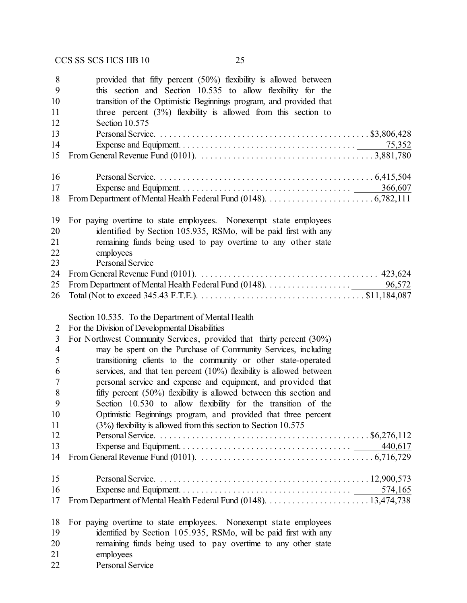| 8<br>9<br>10<br>11<br>12 | provided that fifty percent $(50\%)$ flexibility is allowed between<br>this section and Section 10.535 to allow flexibility for the<br>transition of the Optimistic Beginnings program, and provided that<br>three percent $(3\%)$ flexibility is allowed from this section to<br>Section 10.575 |
|--------------------------|--------------------------------------------------------------------------------------------------------------------------------------------------------------------------------------------------------------------------------------------------------------------------------------------------|
| 13                       |                                                                                                                                                                                                                                                                                                  |
| 14                       | 75,352                                                                                                                                                                                                                                                                                           |
| 15                       |                                                                                                                                                                                                                                                                                                  |
| 16                       |                                                                                                                                                                                                                                                                                                  |
| 17                       | 366,607                                                                                                                                                                                                                                                                                          |
| 18                       |                                                                                                                                                                                                                                                                                                  |
| 19                       | For paying overtime to state employees. Nonexempt state employees                                                                                                                                                                                                                                |
| 20                       | identified by Section 105.935, RSMo, will be paid first with any                                                                                                                                                                                                                                 |
| 21                       | remaining funds being used to pay overtime to any other state                                                                                                                                                                                                                                    |
| 22                       | employees                                                                                                                                                                                                                                                                                        |
| 23                       | <b>Personal Service</b>                                                                                                                                                                                                                                                                          |
| 24<br>25                 | From General Revenue Fund (0101). $\ldots \ldots \ldots \ldots \ldots \ldots \ldots \ldots \ldots \ldots \ldots \ldots$ 423,624                                                                                                                                                                  |
| 26                       |                                                                                                                                                                                                                                                                                                  |
|                          | Section 10.535. To the Department of Mental Health                                                                                                                                                                                                                                               |
| 2                        | For the Division of Developmental Disabilities                                                                                                                                                                                                                                                   |
| 3                        | For Northwest Community Services, provided that thirty percent (30%)                                                                                                                                                                                                                             |
| $\overline{4}$           | may be spent on the Purchase of Community Services, including                                                                                                                                                                                                                                    |
| 5                        | transitioning clients to the community or other state-operated                                                                                                                                                                                                                                   |
| 6                        | services, and that ten percent $(10\%)$ flexibility is allowed between                                                                                                                                                                                                                           |
| 7                        | personal service and expense and equipment, and provided that                                                                                                                                                                                                                                    |
| 8                        | fifty percent $(50\%)$ flexibility is allowed between this section and                                                                                                                                                                                                                           |
| 9                        | Section 10.530 to allow flexibility for the transition of the                                                                                                                                                                                                                                    |
| 10                       | Optimistic Beginnings program, and provided that three percent                                                                                                                                                                                                                                   |
| 11                       | $(3%)$ flexibility is allowed from this section to Section 10.575                                                                                                                                                                                                                                |
| 12                       |                                                                                                                                                                                                                                                                                                  |
| 13                       | 440,617                                                                                                                                                                                                                                                                                          |
| 14                       |                                                                                                                                                                                                                                                                                                  |
| 15                       |                                                                                                                                                                                                                                                                                                  |
| 16                       | 574,165                                                                                                                                                                                                                                                                                          |
| 17                       |                                                                                                                                                                                                                                                                                                  |
| 18                       | For paying overtime to state employees. Nonexempt state employees                                                                                                                                                                                                                                |
| 19                       | identified by Section 105.935, RSMo, will be paid first with any                                                                                                                                                                                                                                 |
| 20                       | remaining funds being used to pay overtime to any other state                                                                                                                                                                                                                                    |
| 21                       | employees                                                                                                                                                                                                                                                                                        |

Personal Service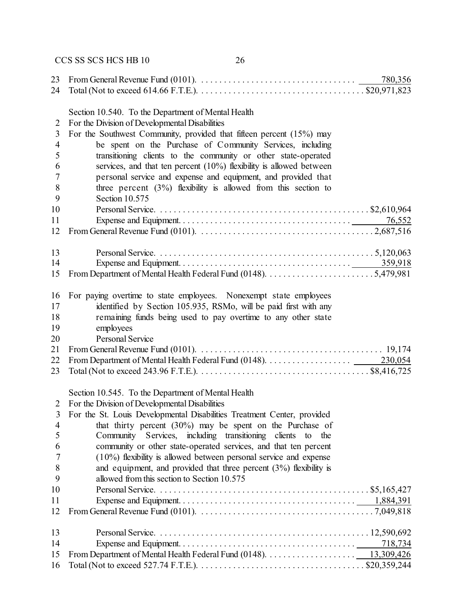| 23             | From General Revenue Fund (0101). $\ldots \ldots \ldots \ldots \ldots \ldots \ldots \ldots \ldots \ldots$<br>780,356                    |  |
|----------------|-----------------------------------------------------------------------------------------------------------------------------------------|--|
| 24             | Total (Not to exceed 614.66 F.T.E.). $\dots \dots \dots \dots \dots \dots \dots \dots \dots \dots \dots \dots \dots \dots$ \$20,971,823 |  |
|                | Section 10.540. To the Department of Mental Health                                                                                      |  |
| $\overline{2}$ | For the Division of Developmental Disabilities                                                                                          |  |
| 3              | For the Southwest Community, provided that fifteen percent (15%) may                                                                    |  |
| $\overline{4}$ | be spent on the Purchase of Community Services, including                                                                               |  |
| 5              | transitioning clients to the community or other state-operated                                                                          |  |
| 6              | services, and that ten percent $(10%)$ flexibility is allowed between                                                                   |  |
| $\overline{7}$ | personal service and expense and equipment, and provided that                                                                           |  |
| 8              | three percent $(3\%)$ flexibility is allowed from this section to                                                                       |  |
| 9              | Section 10.575                                                                                                                          |  |
| 10             |                                                                                                                                         |  |
| 11             | 76,552                                                                                                                                  |  |
| 12             |                                                                                                                                         |  |
|                |                                                                                                                                         |  |
| 13<br>14       |                                                                                                                                         |  |
| 15             |                                                                                                                                         |  |
|                |                                                                                                                                         |  |
| 16             | For paying overtime to state employees. Nonexempt state employees                                                                       |  |
| 17             | identified by Section 105.935, RSMo, will be paid first with any                                                                        |  |
| 18             | remaining funds being used to pay overtime to any other state                                                                           |  |
| 19             | employees                                                                                                                               |  |
| 20             | Personal Service                                                                                                                        |  |
| 21             |                                                                                                                                         |  |
| 22             |                                                                                                                                         |  |
| 23             | Total (Not to exceed 243.96 F.T.E.). $\dots \dots \dots \dots \dots \dots \dots \dots \dots \dots \dots \dots \dots \dots$ \$8,416,725  |  |
|                | Section 10.545. To the Department of Mental Health                                                                                      |  |
| 2              | For the Division of Developmental Disabilities                                                                                          |  |
|                | For the St. Louis Developmental Disabilities Treatment Center, provided                                                                 |  |
| $\overline{4}$ | that thirty percent $(30\%)$ may be spent on the Purchase of                                                                            |  |
| 5              | Community<br>Services, including transitioning clients<br>to<br>the                                                                     |  |
| 6              | community or other state-operated services, and that ten percent                                                                        |  |
| 7              | $(10\%)$ flexibility is allowed between personal service and expense                                                                    |  |
| 8              | and equipment, and provided that three percent $(3%)$ flexibility is                                                                    |  |
| 9              | allowed from this section to Section 10.575                                                                                             |  |
| 10             |                                                                                                                                         |  |
| 11             |                                                                                                                                         |  |
| 12             |                                                                                                                                         |  |
| 13             |                                                                                                                                         |  |
| 14             | 718,734                                                                                                                                 |  |
| 15             |                                                                                                                                         |  |
| 16             |                                                                                                                                         |  |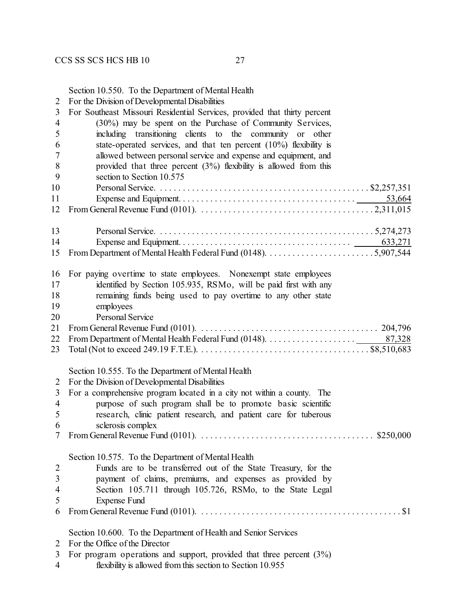Section 10.550. To the Department of Mental Health

For the Division of Developmental Disabilities

| 3              | For Southeast Missouri Residential Services, provided that thirty percent                                                     |
|----------------|-------------------------------------------------------------------------------------------------------------------------------|
| $\overline{4}$ | (30%) may be spent on the Purchase of Community Services,                                                                     |
| 5              | including transitioning clients to the community or other                                                                     |
| 6              | state-operated services, and that ten percent $(10\%)$ flexibility is                                                         |
| 7              | allowed between personal service and expense and equipment, and                                                               |
| 8              | provided that three percent $(3%)$ flexibility is allowed from this                                                           |
| 9              | section to Section 10.575                                                                                                     |
| 10             |                                                                                                                               |
| 11             | 53,664                                                                                                                        |
| 12             |                                                                                                                               |
|                |                                                                                                                               |
| 13             |                                                                                                                               |
| 14             |                                                                                                                               |
| 15             |                                                                                                                               |
|                |                                                                                                                               |
| 16             | For paying overtime to state employees. Nonexempt state employees                                                             |
| 17             | identified by Section 105.935, RSMo, will be paid first with any                                                              |
| 18             | remaining funds being used to pay overtime to any other state                                                                 |
| 19             | employees                                                                                                                     |
| 20             | <b>Personal Service</b>                                                                                                       |
| 21             |                                                                                                                               |
| 22             |                                                                                                                               |
| 23             |                                                                                                                               |
|                |                                                                                                                               |
|                | Section 10.555. To the Department of Mental Health                                                                            |
| $\overline{2}$ | For the Division of Developmental Disabilities                                                                                |
| 3              | For a comprehensive program located in a city not within a county. The                                                        |
| $\overline{4}$ | purpose of such program shall be to promote basic scientific                                                                  |
| 5              | research, clinic patient research, and patient care for tuberous                                                              |
| 6              | sclerosis complex                                                                                                             |
| 7              | From General Revenue Fund (0101). $\ldots \ldots \ldots \ldots \ldots \ldots \ldots \ldots \ldots \ldots \ldots$ \$250,000    |
|                |                                                                                                                               |
|                | Section 10.575. To the Department of Mental Health                                                                            |
| $\overline{2}$ | Funds are to be transferred out of the State Treasury, for the                                                                |
| 3              | payment of claims, premiums, and expenses as provided by                                                                      |
| $\overline{4}$ | Section 105.711 through 105.726, RSMo, to the State Legal                                                                     |
| 5              | <b>Expense Fund</b>                                                                                                           |
| 6              | From General Revenue Fund (0101). $\dots \dots \dots \dots \dots \dots \dots \dots \dots \dots \dots \dots \dots \dots \$ \$1 |
|                |                                                                                                                               |
|                | Section 10.600. To the Department of Health and Senior Services                                                               |
| 2              | For the Office of the Director                                                                                                |
| 3              | For program operations and support, provided that three percent $(3%)$                                                        |
| 4              | flexibility is allowed from this section to Section 10.955                                                                    |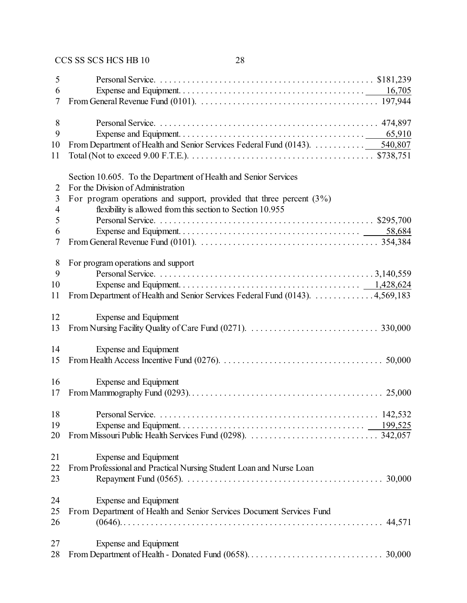| 5              |                                                                              |
|----------------|------------------------------------------------------------------------------|
| 6              |                                                                              |
| 7              |                                                                              |
|                |                                                                              |
| 8              |                                                                              |
| 9              |                                                                              |
| 10             | From Department of Health and Senior Services Federal Fund (0143). 540,807   |
| 11             |                                                                              |
|                |                                                                              |
|                | Section 10.605. To the Department of Health and Senior Services              |
| 2              | For the Division of Administration                                           |
| 3              | For program operations and support, provided that three percent $(3\%)$      |
| $\overline{4}$ | flexibility is allowed from this section to Section 10.955                   |
| 5              |                                                                              |
| 6              |                                                                              |
| 7              |                                                                              |
|                |                                                                              |
| $8\phantom{1}$ | For program operations and support                                           |
| 9              |                                                                              |
| 10             |                                                                              |
| 11             | From Department of Health and Senior Services Federal Fund (0143). 4,569,183 |
| 12             | Expense and Equipment                                                        |
| 13             |                                                                              |
|                |                                                                              |
| 14             | Expense and Equipment                                                        |
| 15             |                                                                              |
|                |                                                                              |
| 16             | Expense and Equipment                                                        |
| 17             |                                                                              |
|                |                                                                              |
| 18             |                                                                              |
| 19             |                                                                              |
| 20             |                                                                              |
|                |                                                                              |
| 21             | Expense and Equipment                                                        |
| 22             | From Professional and Practical Nursing Student Loan and Nurse Loan          |
| 23             |                                                                              |
|                |                                                                              |
| 24             | Expense and Equipment                                                        |
| 25             | From Department of Health and Senior Services Document Services Fund         |
| 26             |                                                                              |
| 27             | Expense and Equipment                                                        |
| 28             |                                                                              |
|                |                                                                              |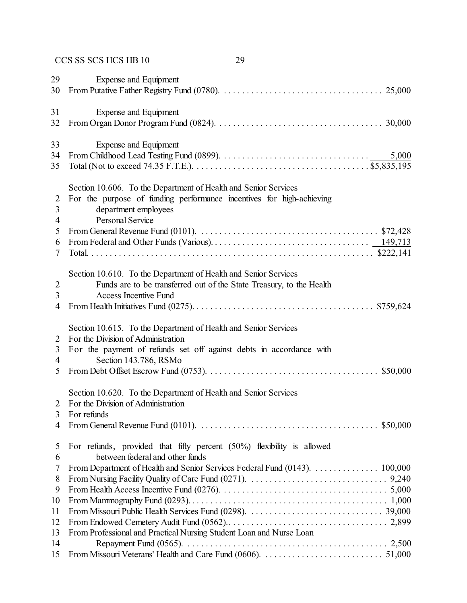| 29             | Expense and Equipment                                                                                                            |
|----------------|----------------------------------------------------------------------------------------------------------------------------------|
| 30             |                                                                                                                                  |
| 31             | Expense and Equipment                                                                                                            |
| 32             |                                                                                                                                  |
| 33             | Expense and Equipment                                                                                                            |
| 34             |                                                                                                                                  |
| 35             |                                                                                                                                  |
|                | Section 10.606. To the Department of Health and Senior Services                                                                  |
| 2              | For the purpose of funding performance incentives for high-achieving                                                             |
| 3              | department employees                                                                                                             |
| $\overline{4}$ | <b>Personal Service</b>                                                                                                          |
| 5              | From General Revenue Fund (0101). $\ldots \ldots \ldots \ldots \ldots \ldots \ldots \ldots \ldots \ldots \ldots \ldots$ \$72,428 |
| 6              |                                                                                                                                  |
| 7              |                                                                                                                                  |
|                | Section 10.610. To the Department of Health and Senior Services                                                                  |
| $\overline{2}$ | Funds are to be transferred out of the State Treasury, to the Health                                                             |
| 3              | <b>Access Incentive Fund</b>                                                                                                     |
| $\overline{4}$ |                                                                                                                                  |
|                | Section 10.615. To the Department of Health and Senior Services                                                                  |
| 2              | For the Division of Administration                                                                                               |
| 3              | For the payment of refunds set off against debts in accordance with                                                              |
| $\overline{4}$ | Section 143.786, RSMo                                                                                                            |
| 5              |                                                                                                                                  |
|                | Section 10.620. To the Department of Health and Senior Services                                                                  |
| 2              | For the Division of Administration                                                                                               |
|                | For refunds                                                                                                                      |
| 4              | From General Revenue Fund (0101). $\ldots \ldots \ldots \ldots \ldots \ldots \ldots \ldots \ldots \ldots \ldots \ldots$ \$50,000 |
| 5              | For refunds, provided that fifty percent $(50\%)$ flexibility is allowed                                                         |
| 6              | between federal and other funds                                                                                                  |
| 7              | From Department of Health and Senior Services Federal Fund (0143). 100,000                                                       |
| 8              |                                                                                                                                  |
| 9              |                                                                                                                                  |
| 10             |                                                                                                                                  |
| 11             |                                                                                                                                  |
| 12             |                                                                                                                                  |
| 13             | From Professional and Practical Nursing Student Loan and Nurse Loan                                                              |
| 14             |                                                                                                                                  |
| 15             |                                                                                                                                  |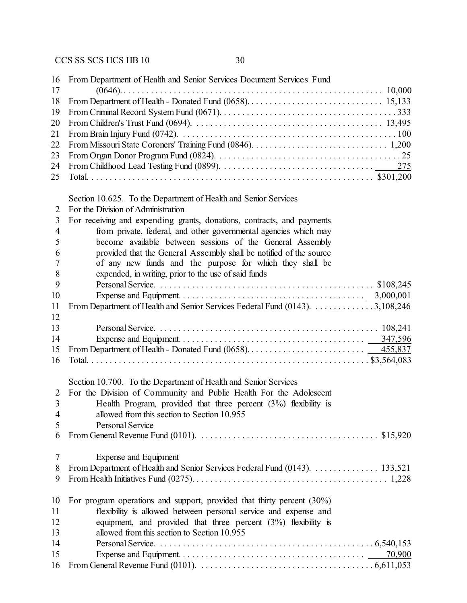| 16                       | From Department of Health and Senior Services Document Services Fund                                                             |
|--------------------------|----------------------------------------------------------------------------------------------------------------------------------|
| 17                       |                                                                                                                                  |
| 18                       |                                                                                                                                  |
| 19                       |                                                                                                                                  |
| 20                       |                                                                                                                                  |
| 21                       |                                                                                                                                  |
| 22                       |                                                                                                                                  |
| 23                       |                                                                                                                                  |
| 24                       |                                                                                                                                  |
| 25                       |                                                                                                                                  |
|                          | Section 10.625. To the Department of Health and Senior Services                                                                  |
| 2                        | For the Division of Administration                                                                                               |
| 3                        | For receiving and expending grants, donations, contracts, and payments                                                           |
| $\overline{4}$           | from private, federal, and other governmental agencies which may                                                                 |
| 5                        | become available between sessions of the General Assembly                                                                        |
| 6                        | provided that the General Assembly shall be notified of the source                                                               |
| 7                        | of any new funds and the purpose for which they shall be                                                                         |
| 8                        | expended, in writing, prior to the use of said funds                                                                             |
| 9                        |                                                                                                                                  |
| 10                       |                                                                                                                                  |
| 11                       | From Department of Health and Senior Services Federal Fund (0143). 3,108,246                                                     |
| 12                       |                                                                                                                                  |
| 13                       |                                                                                                                                  |
| 14                       |                                                                                                                                  |
| 15                       |                                                                                                                                  |
| 16                       |                                                                                                                                  |
|                          |                                                                                                                                  |
|                          | Section 10.700. To the Department of Health and Senior Services                                                                  |
| 2                        | For the Division of Community and Public Health For the Adolescent                                                               |
| 3                        | Health Program, provided that three percent $(3%)$ flexibility is                                                                |
| $\overline{\mathcal{A}}$ | allowed from this section to Section 10.955                                                                                      |
| 5                        | Personal Service                                                                                                                 |
| 6                        | From General Revenue Fund (0101). $\ldots \ldots \ldots \ldots \ldots \ldots \ldots \ldots \ldots \ldots \ldots \ldots$ \$15,920 |
| 7                        | Expense and Equipment                                                                                                            |
| 8                        | From Department of Health and Senior Services Federal Fund (0143). 133,521                                                       |
| 9                        |                                                                                                                                  |
| 10                       | For program operations and support, provided that thirty percent $(30\%)$                                                        |
| 11                       | flexibility is allowed between personal service and expense and                                                                  |
| 12                       | equipment, and provided that three percent (3%) flexibility is                                                                   |
| 13                       | allowed from this section to Section 10.955                                                                                      |
| 14                       |                                                                                                                                  |
| 15                       | 70,900                                                                                                                           |
| 16                       |                                                                                                                                  |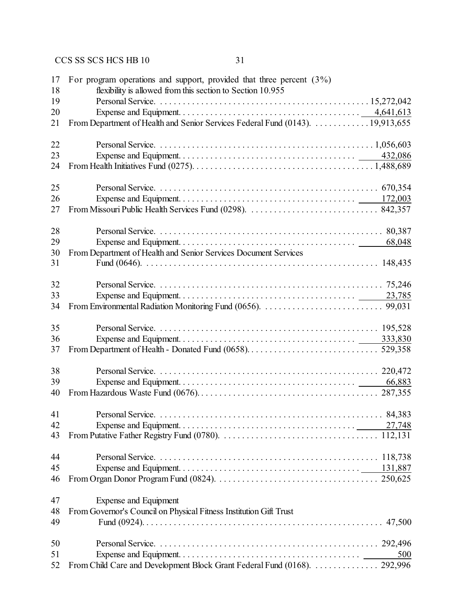| 17<br>18 | For program operations and support, provided that three percent $(3\%)$<br>flexibility is allowed from this section to Section 10.955 |
|----------|---------------------------------------------------------------------------------------------------------------------------------------|
| 19       |                                                                                                                                       |
| 20       |                                                                                                                                       |
| 21       | From Department of Health and Senior Services Federal Fund (0143). 19,913,655                                                         |
| 22       |                                                                                                                                       |
| 23       |                                                                                                                                       |
| 24       |                                                                                                                                       |
| 25       |                                                                                                                                       |
| 26       |                                                                                                                                       |
| 27       |                                                                                                                                       |
| 28       |                                                                                                                                       |
| 29       | 68,048                                                                                                                                |
| 30       | From Department of Health and Senior Services Document Services                                                                       |
| 31       |                                                                                                                                       |
| 32       |                                                                                                                                       |
| 33       |                                                                                                                                       |
| 34       |                                                                                                                                       |
| 35       |                                                                                                                                       |
| 36       |                                                                                                                                       |
| 37       |                                                                                                                                       |
| 38       |                                                                                                                                       |
| 39       | 66,883                                                                                                                                |
| 40       |                                                                                                                                       |
| 41       |                                                                                                                                       |
| 42       |                                                                                                                                       |
| 43       |                                                                                                                                       |
| 44       |                                                                                                                                       |
| 45       |                                                                                                                                       |
| 46       |                                                                                                                                       |
| 47       | Expense and Equipment                                                                                                                 |
| 48       | From Governor's Council on Physical Fitness Institution Gift Trust                                                                    |
| 49       |                                                                                                                                       |
| 50       |                                                                                                                                       |
| 51       | 500                                                                                                                                   |
| 52       | From Child Care and Development Block Grant Federal Fund (0168).  292,996                                                             |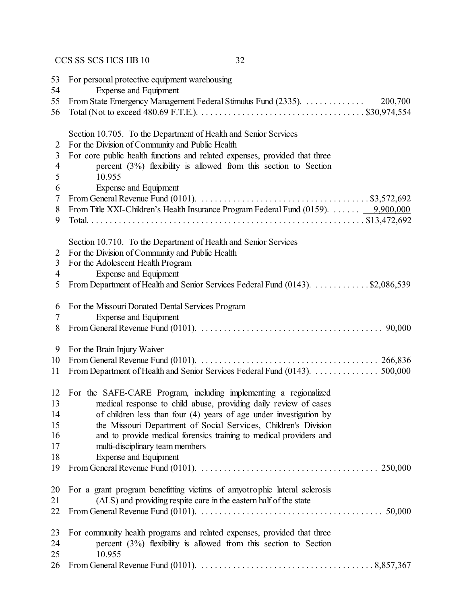| 53<br>54 | For personal protective equipment warehousing<br>Expense and Equipment                                                                        |
|----------|-----------------------------------------------------------------------------------------------------------------------------------------------|
| 55       | 200,700                                                                                                                                       |
| 56       | Total (Not to exceed 480.69 F.T.E.). $\dots \dots \dots \dots \dots \dots \dots \dots \dots \dots \dots \dots \dots \dots \dots$ \$30,974,554 |
|          | Section 10.705. To the Department of Health and Senior Services                                                                               |
| 2        | For the Division of Community and Public Health                                                                                               |
| 3        | For core public health functions and related expenses, provided that three                                                                    |
| 4        | percent $(3%)$ flexibility is allowed from this section to Section                                                                            |
| 5        | 10.955                                                                                                                                        |
| 6        | Expense and Equipment                                                                                                                         |
| 7        | From General Revenue Fund (0101). $\ldots \ldots \ldots \ldots \ldots \ldots \ldots \ldots \ldots \ldots \ldots \ldots$ \$3,572,692           |
| 8        | From Title XXI-Children's Health Insurance Program Federal Fund (0159). $\dots \dots \dots \dots$ 9,900,000                                   |
| 9        |                                                                                                                                               |
|          | Section 10.710. To the Department of Health and Senior Services                                                                               |
| 2        | For the Division of Community and Public Health                                                                                               |
| 3        | For the Adolescent Health Program                                                                                                             |
| 4        | Expense and Equipment                                                                                                                         |
| 5        | From Department of Health and Senior Services Federal Fund (0143). \$2,086,539                                                                |
| 6        | For the Missouri Donated Dental Services Program                                                                                              |
| 7        | Expense and Equipment                                                                                                                         |
| 8        |                                                                                                                                               |
| 9        | For the Brain Injury Waiver                                                                                                                   |
| 10       |                                                                                                                                               |
| 11       | From Department of Health and Senior Services Federal Fund (0143). 500,000                                                                    |
| 12       | For the SAFE-CARE Program, including implementing a regionalized                                                                              |
| 13       | medical response to child abuse, providing daily review of cases                                                                              |
| 14       | of children less than four (4) years of age under investigation by                                                                            |
| 15       | the Missouri Department of Social Services, Children's Division                                                                               |
| 16       | and to provide medical forensics training to medical providers and                                                                            |
| 17       | multi-disciplinary team members                                                                                                               |
| 18       | <b>Expense and Equipment</b>                                                                                                                  |
| 19       |                                                                                                                                               |
| 20       | For a grant program benefitting victims of amyotrophic lateral sclerosis                                                                      |
| 21       | (ALS) and providing respite care in the eastern half of the state                                                                             |
| 22       | From General Revenue Fund (0101). $\ldots \ldots \ldots \ldots \ldots \ldots \ldots \ldots \ldots \ldots \ldots \ldots \ldots$ 50,000         |
| 23       | For community health programs and related expenses, provided that three                                                                       |
| 24       | percent $(3%)$ flexibility is allowed from this section to Section                                                                            |
| 25       | 10.955                                                                                                                                        |
| 26       |                                                                                                                                               |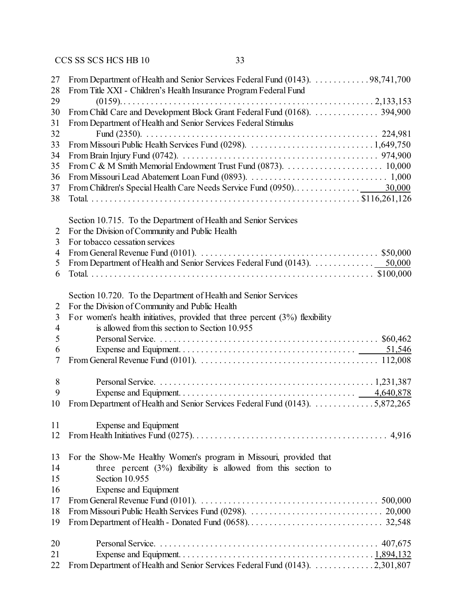| 27             | From Department of Health and Senior Services Federal Fund (0143). 98,741,700                                                          |
|----------------|----------------------------------------------------------------------------------------------------------------------------------------|
| 28             | From Title XXI - Children's Health Insurance Program Federal Fund                                                                      |
| 29             |                                                                                                                                        |
| 30             | From Child Care and Development Block Grant Federal Fund (0168).  394,900                                                              |
| 31             | From Department of Health and Senior Services Federal Stimulus                                                                         |
| 32             |                                                                                                                                        |
| 33             |                                                                                                                                        |
| 34             |                                                                                                                                        |
| 35             |                                                                                                                                        |
| 36             |                                                                                                                                        |
| 37             |                                                                                                                                        |
| 38             |                                                                                                                                        |
|                | Section 10.715. To the Department of Health and Senior Services                                                                        |
| 2              | For the Division of Community and Public Health                                                                                        |
| 3              | For tobacco cessation services                                                                                                         |
| $\overline{4}$ |                                                                                                                                        |
| 5              |                                                                                                                                        |
| 6              |                                                                                                                                        |
|                |                                                                                                                                        |
|                | Section 10.720. To the Department of Health and Senior Services                                                                        |
| 2              | For the Division of Community and Public Health                                                                                        |
| 3              | For women's health initiatives, provided that three percent $(3%)$ flexibility                                                         |
| 4              | is allowed from this section to Section 10.955                                                                                         |
| 5              |                                                                                                                                        |
| 6              |                                                                                                                                        |
| 7              |                                                                                                                                        |
|                |                                                                                                                                        |
| $8\,$          |                                                                                                                                        |
| 9              |                                                                                                                                        |
| 10             | From Department of Health and Senior Services Federal Fund (0143). 5,872,265                                                           |
|                |                                                                                                                                        |
| 11             | <b>Expense and Equipment</b>                                                                                                           |
| 12             |                                                                                                                                        |
|                |                                                                                                                                        |
| 13             | For the Show-Me Healthy Women's program in Missouri, provided that                                                                     |
| 14             | three percent $(3\%)$ flexibility is allowed from this section to                                                                      |
| 15             | Section 10.955                                                                                                                         |
| 16             | <b>Expense and Equipment</b>                                                                                                           |
| 17             | From General Revenue Fund (0101). $\ldots \ldots \ldots \ldots \ldots \ldots \ldots \ldots \ldots \ldots \ldots \ldots \ldots$ 500,000 |
| 18             |                                                                                                                                        |
| 19             |                                                                                                                                        |
|                |                                                                                                                                        |
| 20             |                                                                                                                                        |
| 21             |                                                                                                                                        |
| 22             | From Department of Health and Senior Services Federal Fund (0143). 2,301,807                                                           |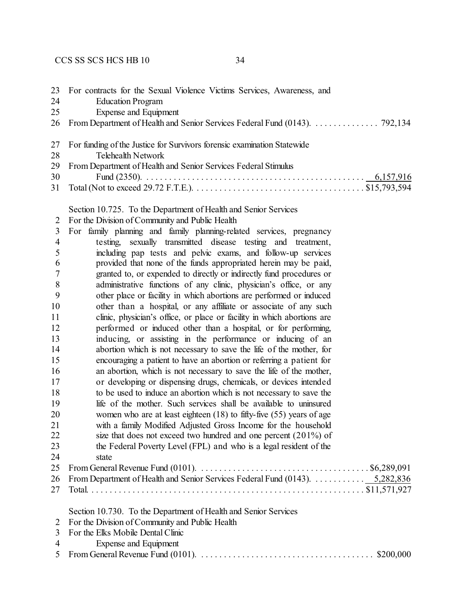|    | 23 For contracts for the Sexual Violence Victims Services, Awareness, and     |
|----|-------------------------------------------------------------------------------|
| 24 | <b>Education Program</b>                                                      |
| 25 | Expense and Equipment                                                         |
|    | 26 From Department of Health and Senior Services Federal Fund (0143). 792,134 |
|    | 27 For funding of the Justice for Survivors forensic examination Statewide    |
|    | 28 and $\sim$<br>Telehealth Network                                           |
|    | 29 From Department of Health and Senior Services Federal Stimulus             |
|    | 30                                                                            |
|    |                                                                               |

Section 10.725. To the Department of Health and Senior Services

2 For the Division of Community and Public Health

| 3              | For family planning and family planning-related services, pregnancy          |
|----------------|------------------------------------------------------------------------------|
| $\overline{4}$ | testing, sexually transmitted disease testing and treatment,                 |
| 5              | including pap tests and pelvic exams, and follow-up services                 |
| 6              | provided that none of the funds appropriated herein may be paid,             |
| 7              | granted to, or expended to directly or indirectly fund procedures or         |
| 8              | administrative functions of any clinic, physician's office, or any           |
| 9              | other place or facility in which abortions are performed or induced          |
| 10             | other than a hospital, or any affiliate or associate of any such             |
| 11             | clinic, physician's office, or place or facility in which abortions are      |
| 12             | performed or induced other than a hospital, or for performing,               |
| 13             | inducing, or assisting in the performance or inducing of an                  |
| 14             | abortion which is not necessary to save the life of the mother, for          |
| 15             | encouraging a patient to have an abortion or referring a patient for         |
| 16             | an abortion, which is not necessary to save the life of the mother,          |
| 17             | or developing or dispensing drugs, chemicals, or devices intended            |
| 18             | to be used to induce an abortion which is not necessary to save the          |
| 19             | life of the mother. Such services shall be available to uninsured            |
| 20             | women who are at least eighteen $(18)$ to fifty-five $(55)$ years of age     |
| 21             | with a family Modified Adjusted Gross Income for the household               |
| 22             | size that does not exceed two hundred and one percent $(201\%)$ of           |
| 23             | the Federal Poverty Level (FPL) and who is a legal resident of the           |
| 24             | state                                                                        |
| 25             |                                                                              |
| 26             | From Department of Health and Senior Services Federal Fund (0143). 5,282,836 |
| 27             |                                                                              |
|                | Section 10.730. To the Department of Health and Senior Services              |
| 2              | For the Division of Community and Public Health                              |
| 3              | For the Elks Mobile Dental Clinic                                            |
| 4              | Expense and Equipment                                                        |
| 5              | \$200,000                                                                    |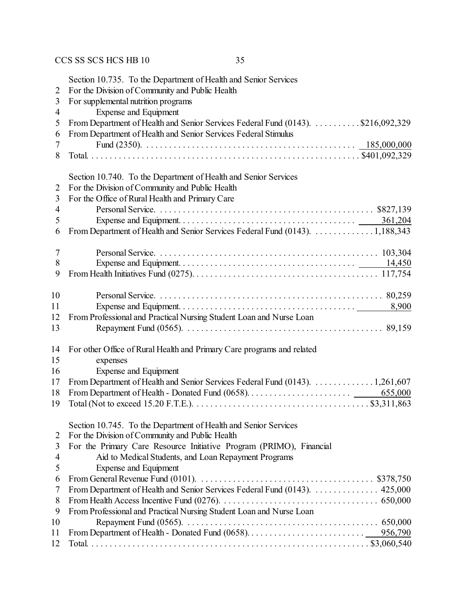| $\overline{2}$<br>3<br>4 | Section 10.735. To the Department of Health and Senior Services<br>For the Division of Community and Public Health<br>For supplemental nutrition programs<br><b>Expense and Equipment</b> |
|--------------------------|-------------------------------------------------------------------------------------------------------------------------------------------------------------------------------------------|
| 5                        | From Department of Health and Senior Services Federal Fund (0143). \$216,092,329                                                                                                          |
| 6                        | From Department of Health and Senior Services Federal Stimulus                                                                                                                            |
| 7                        |                                                                                                                                                                                           |
| 8                        |                                                                                                                                                                                           |
|                          | Section 10.740. To the Department of Health and Senior Services                                                                                                                           |
| $\overline{2}$           | For the Division of Community and Public Health                                                                                                                                           |
| 3                        | For the Office of Rural Health and Primary Care                                                                                                                                           |
| 4                        |                                                                                                                                                                                           |
| 5                        |                                                                                                                                                                                           |
| 6                        | From Department of Health and Senior Services Federal Fund (0143). 1,188,343                                                                                                              |
| 7                        |                                                                                                                                                                                           |
| 8                        |                                                                                                                                                                                           |
| 9                        |                                                                                                                                                                                           |
|                          |                                                                                                                                                                                           |
| 10                       |                                                                                                                                                                                           |
| 11                       |                                                                                                                                                                                           |
| 12                       | From Professional and Practical Nursing Student Loan and Nurse Loan                                                                                                                       |
| 13                       |                                                                                                                                                                                           |
| 14                       | For other Office of Rural Health and Primary Care programs and related                                                                                                                    |
| 15                       | expenses                                                                                                                                                                                  |
| 16                       | Expense and Equipment                                                                                                                                                                     |
| 17                       | From Department of Health and Senior Services Federal Fund (0143). 1,261,607                                                                                                              |
| 18                       | 655,000                                                                                                                                                                                   |
| 19                       | Total (Not to exceed 15.20 F.T.E.). $\dots \dots \dots \dots \dots \dots \dots \dots \dots \dots \dots \dots \dots \$ \$3,311,863                                                         |
|                          | Section 10.745. To the Department of Health and Senior Services                                                                                                                           |
| 2                        | For the Division of Community and Public Health                                                                                                                                           |
| 3                        | For the Primary Care Resource Initiative Program (PRIMO), Financial                                                                                                                       |
| 4                        | Aid to Medical Students, and Loan Repayment Programs                                                                                                                                      |
| 5                        | <b>Expense and Equipment</b>                                                                                                                                                              |
| 6                        | From General Revenue Fund (0101). $\ldots \ldots \ldots \ldots \ldots \ldots \ldots \ldots \ldots \ldots \ldots$ \$378,750                                                                |
| 7                        | From Department of Health and Senior Services Federal Fund (0143).  425,000                                                                                                               |
| 8                        |                                                                                                                                                                                           |
| 9                        | From Professional and Practical Nursing Student Loan and Nurse Loan                                                                                                                       |
| 10                       |                                                                                                                                                                                           |
| 11                       |                                                                                                                                                                                           |
| 12                       |                                                                                                                                                                                           |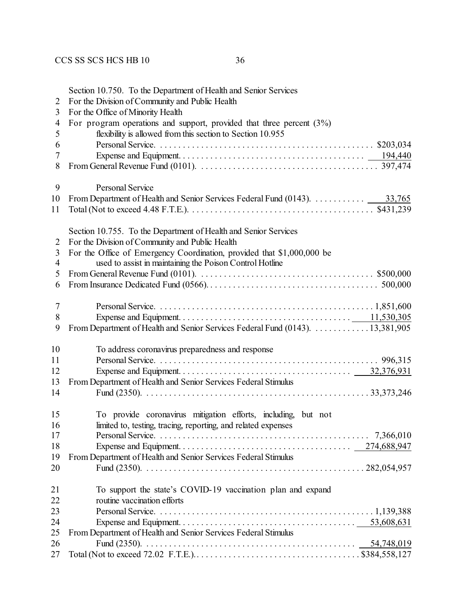| 2<br>3 | Section 10.750. To the Department of Health and Senior Services<br>For the Division of Community and Public Health<br>For the Office of Minority Health |
|--------|---------------------------------------------------------------------------------------------------------------------------------------------------------|
| 4      | For program operations and support, provided that three percent $(3%)$                                                                                  |
| 5      | flexibility is allowed from this section to Section 10.955                                                                                              |
| 6<br>7 |                                                                                                                                                         |
| 8      |                                                                                                                                                         |
|        |                                                                                                                                                         |
| 9      | Personal Service                                                                                                                                        |
| 10     |                                                                                                                                                         |
| 11     |                                                                                                                                                         |
|        | Section 10.755. To the Department of Health and Senior Services                                                                                         |
| 2      | For the Division of Community and Public Health                                                                                                         |
| 3      | For the Office of Emergency Coordination, provided that \$1,000,000 be                                                                                  |
| 4      | used to assist in maintaining the Poison Control Hotline                                                                                                |
| 5      | From General Revenue Fund (0101). $\ldots \ldots \ldots \ldots \ldots \ldots \ldots \ldots \ldots \ldots \ldots \ldots$ \$500,000                       |
| 6      |                                                                                                                                                         |
| $\tau$ |                                                                                                                                                         |
| 8      |                                                                                                                                                         |
| 9      | From Department of Health and Senior Services Federal Fund (0143). 13,381,905                                                                           |
| 10     |                                                                                                                                                         |
| 11     | To address coronavirus preparedness and response                                                                                                        |
| 12     |                                                                                                                                                         |
| 13     |                                                                                                                                                         |
| 14     | From Department of Health and Senior Services Federal Stimulus                                                                                          |
|        |                                                                                                                                                         |
| 15     | To provide coronavirus mitigation efforts, including, but not                                                                                           |
| 16     | limited to, testing, tracing, reporting, and related expenses                                                                                           |
| 17     |                                                                                                                                                         |
| 18     |                                                                                                                                                         |
| 19     | From Department of Health and Senior Services Federal Stimulus                                                                                          |
| 20     |                                                                                                                                                         |
| 21     | To support the state's COVID-19 vaccination plan and expand                                                                                             |
| 22     | routine vaccination efforts                                                                                                                             |
| 23     |                                                                                                                                                         |
| 24     |                                                                                                                                                         |
| 25     | From Department of Health and Senior Services Federal Stimulus                                                                                          |
| 26     |                                                                                                                                                         |
| 27     |                                                                                                                                                         |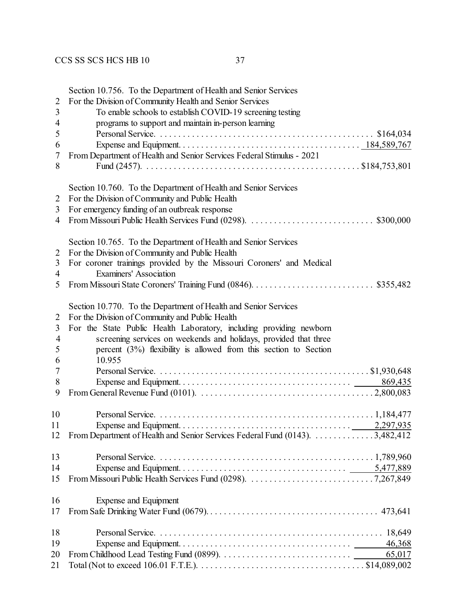|                | Section 10.756. To the Department of Health and Senior Services              |
|----------------|------------------------------------------------------------------------------|
| $\overline{2}$ | For the Division of Community Health and Senior Services                     |
| 3              | To enable schools to establish COVID-19 screening testing                    |
| $\overline{4}$ | programs to support and maintain in-person learning                          |
| 5              |                                                                              |
| 6              |                                                                              |
| 7              | From Department of Health and Senior Services Federal Stimulus - 2021        |
| 8              |                                                                              |
|                |                                                                              |
|                | Section 10.760. To the Department of Health and Senior Services              |
| 2              | For the Division of Community and Public Health                              |
| 3              | For emergency funding of an outbreak response                                |
| 4              |                                                                              |
|                | Section 10.765. To the Department of Health and Senior Services              |
| 2              | For the Division of Community and Public Health                              |
| 3              | For coroner trainings provided by the Missouri Coroners' and Medical         |
| 4              | <b>Examiners' Association</b>                                                |
| 5              |                                                                              |
|                |                                                                              |
|                | Section 10.770. To the Department of Health and Senior Services              |
| 2              | For the Division of Community and Public Health                              |
| 3              | For the State Public Health Laboratory, including providing newborn          |
| $\overline{4}$ | screening services on weekends and holidays, provided that three             |
| 5              | percent $(3%)$ flexibility is allowed from this section to Section           |
| 6              | 10.955                                                                       |
| 7              |                                                                              |
| 8              | 869,435                                                                      |
| 9              |                                                                              |
|                |                                                                              |
| 10             |                                                                              |
| 11             | $\cdots$ 2,297,935<br>Expense and Equipment. $\dots \dots$                   |
| 12             | From Department of Health and Senior Services Federal Fund (0143). 3,482,412 |
|                |                                                                              |
| 13             |                                                                              |
| 14             |                                                                              |
| 15             |                                                                              |
| 16             | Expense and Equipment                                                        |
| 17             |                                                                              |
|                |                                                                              |
| 18             |                                                                              |
| 19             | 46,368                                                                       |
| 20             | 65,017                                                                       |
| 21             |                                                                              |
|                |                                                                              |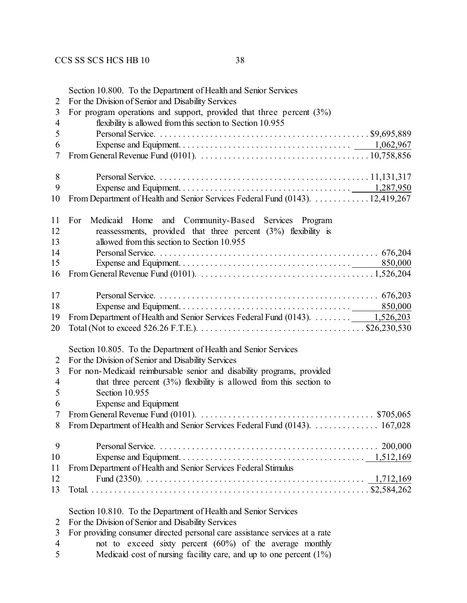| $\overline{2}$                | Section 10.800. To the Department of Health and Senior Services<br>For the Division of Senior and Disability Services                |
|-------------------------------|--------------------------------------------------------------------------------------------------------------------------------------|
| 3<br>$\overline{\mathcal{A}}$ | For program operations and support, provided that three percent $(3%)$<br>flexibility is allowed from this section to Section 10.955 |
| 5                             |                                                                                                                                      |
| 6                             |                                                                                                                                      |
| 7                             |                                                                                                                                      |
| 8                             |                                                                                                                                      |
| 9                             |                                                                                                                                      |
| 10                            | From Department of Health and Senior Services Federal Fund (0143). 12,419,267                                                        |
| 11                            | and Community-Based Services Program<br>For<br>Medicaid Home                                                                         |
| 12<br>13                      | reassessments, provided that three percent $(3%)$ flexibility is<br>allowed from this section to Section 10.955                      |
| 14                            |                                                                                                                                      |
| 15                            |                                                                                                                                      |
| 16                            |                                                                                                                                      |
| 17                            |                                                                                                                                      |
| 18                            |                                                                                                                                      |
| 19                            | From Department of Health and Senior Services Federal Fund (0143). _ 1,526,203                                                       |
| 20                            |                                                                                                                                      |
|                               | Section 10.805. To the Department of Health and Senior Services                                                                      |
| $\overline{2}$                | For the Division of Senior and Disability Services                                                                                   |
| 3                             | For non-Medicaid reimbursable senior and disability programs, provided                                                               |
| $\overline{4}$                | that three percent $(3\%)$ flexibility is allowed from this section to                                                               |
| 5                             | Section 10.955                                                                                                                       |
| 6                             | Expense and Equipment                                                                                                                |
| 7                             | From General Revenue Fund (0101). $\ldots \ldots \ldots \ldots \ldots \ldots \ldots \ldots \ldots \ldots \ldots$ \$705,065           |
| 8                             | From Department of Health and Senior Services Federal Fund (0143). 167,028                                                           |
| 9                             |                                                                                                                                      |
| 10                            |                                                                                                                                      |
| 11                            | From Department of Health and Senior Services Federal Stimulus                                                                       |
| 12                            |                                                                                                                                      |
| 13                            |                                                                                                                                      |
|                               | Section 10.810. To the Department of Health and Senior Services                                                                      |
| 2                             | For the Division of Senior and Disability Services                                                                                   |
| 3                             | For providing consumer directed personal care assistance services at a rate                                                          |
| $\overline{4}$                | not to exceed sixty percent $(60\%)$ of the average monthly                                                                          |

5 Medicaid cost of nursing facility care, and up to one percent  $(1\%)$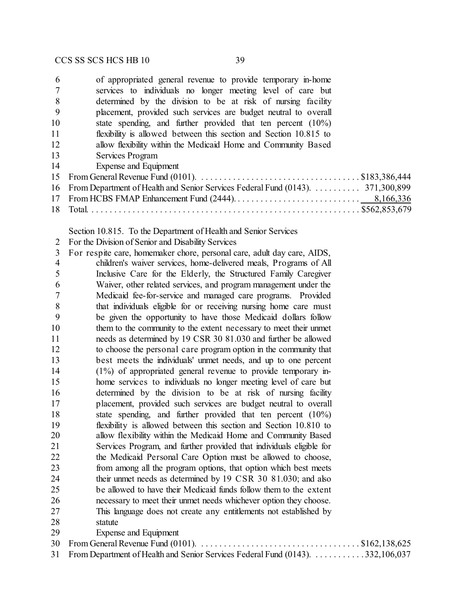| 6  | of appropriated general revenue to provide temporary in-home                                                                   |
|----|--------------------------------------------------------------------------------------------------------------------------------|
|    | services to individuals no longer meeting level of care but                                                                    |
| 8  | determined by the division to be at risk of nursing facility                                                                   |
| -9 | placement, provided such services are budget neutral to overall                                                                |
| 10 | state spending, and further provided that ten percent $(10\%)$                                                                 |
| 11 | flexibility is allowed between this section and Section 10.815 to                                                              |
| 12 | allow flexibility within the Medicaid Home and Community Based                                                                 |
| 13 | Services Program                                                                                                               |
| 14 | Expense and Equipment                                                                                                          |
| 15 | From General Revenue Fund (0101). $\ldots \ldots \ldots \ldots \ldots \ldots \ldots \ldots \ldots \ldots \ldots$ \$183,386,444 |
|    | 16 From Department of Health and Senior Services Federal Fund (0143). 371,300,899                                              |
|    |                                                                                                                                |
|    |                                                                                                                                |
|    |                                                                                                                                |

Section 10.815. To the Department of Health and Senior Services

For the Division of Senior and Disability Services

 For respite care, homemaker chore, personal care, adult day care, AIDS, children's waiver services, home-delivered meals, Programs of All Inclusive Care for the Elderly, the Structured Family Caregiver Waiver, other related services, and program management under the Medicaid fee-for-service and managed care programs. Provided that individuals eligible for or receiving nursing home care must be given the opportunity to have those Medicaid dollars follow them to the community to the extent necessary to meet their unmet needs as determined by 19 CSR 30 81.030 and further be allowed to choose the personal care program option in the community that best meets the individuals' unmet needs, and up to one percent (1%) of appropriated general revenue to provide temporary in- home services to individuals no longer meeting level of care but determined by the division to be at risk of nursing facility placement, provided such services are budget neutral to overall state spending, and further provided that ten percent (10%) flexibility is allowed between this section and Section 10.810 to allow flexibility within the Medicaid Home and Community Based Services Program, and further provided that individuals eligible for the Medicaid Personal Care Option must be allowed to choose, from among all the program options, that option which best meets their unmet needs as determined by 19 CSR 30 81.030; and also be allowed to have their Medicaid funds follow them to the extent necessary to meet their unmet needs whichever option they choose. This language does not create any entitlements not established by statute Expense and Equipment From General Revenue Fund (0101). . . . . . . . . . . . . . . . . . . . . . . . . . . . . . . . . . . . \$162,138,625

From Department of Health and Senior Services Federal Fund (0143). . . . . . . . . . . . 332,106,037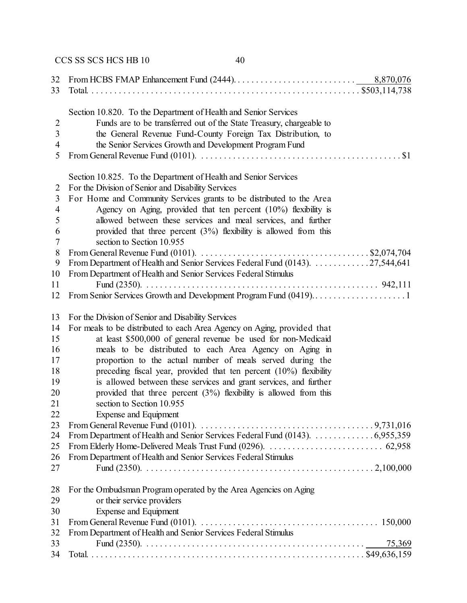| 32<br>33                 |                                                                                                                                                                                      |
|--------------------------|--------------------------------------------------------------------------------------------------------------------------------------------------------------------------------------|
|                          | Section 10.820. To the Department of Health and Senior Services                                                                                                                      |
| $\overline{2}$           | Funds are to be transferred out of the State Treasury, chargeable to                                                                                                                 |
| 3                        |                                                                                                                                                                                      |
|                          | the General Revenue Fund-County Foreign Tax Distribution, to                                                                                                                         |
| $\overline{4}$<br>5      | the Senior Services Growth and Development Program Fund<br>From General Revenue Fund (0101). $\dots \dots \dots \dots \dots \dots \dots \dots \dots \dots \dots \dots \dots \dots \$ |
|                          |                                                                                                                                                                                      |
|                          | Section 10.825. To the Department of Health and Senior Services                                                                                                                      |
| 2                        | For the Division of Senior and Disability Services                                                                                                                                   |
| 3                        | For Home and Community Services grants to be distributed to the Area                                                                                                                 |
| $\overline{\mathcal{A}}$ | Agency on Aging, provided that ten percent $(10\%)$ flexibility is                                                                                                                   |
| 5                        | allowed between these services and meal services, and further                                                                                                                        |
| 6                        | provided that three percent $(3%)$ flexibility is allowed from this                                                                                                                  |
| 7                        | section to Section 10.955                                                                                                                                                            |
| 8                        | From General Revenue Fund (0101). $\ldots \ldots \ldots \ldots \ldots \ldots \ldots \ldots \ldots \ldots$ \$2,074,704                                                                |
| 9                        | From Department of Health and Senior Services Federal Fund (0143). 27,544,641                                                                                                        |
| 10                       | From Department of Health and Senior Services Federal Stimulus                                                                                                                       |
| 11                       |                                                                                                                                                                                      |
| 12                       |                                                                                                                                                                                      |
| 13                       | For the Division of Senior and Disability Services                                                                                                                                   |
| 14                       | For meals to be distributed to each Area Agency on Aging, provided that                                                                                                              |
| 15                       | at least \$500,000 of general revenue be used for non-Medicaid                                                                                                                       |
| 16                       | meals to be distributed to each Area Agency on Aging in                                                                                                                              |
| 17                       | proportion to the actual number of meals served during the                                                                                                                           |
| 18                       | preceding fiscal year, provided that ten percent $(10\%)$ flexibility                                                                                                                |
| 19                       | is allowed between these services and grant services, and further                                                                                                                    |
| 20                       | provided that three percent $(3%)$ flexibility is allowed from this                                                                                                                  |
| 21                       | section to Section 10.955                                                                                                                                                            |
| 22                       | <b>Expense and Equipment</b>                                                                                                                                                         |
| 23                       |                                                                                                                                                                                      |
| 24                       | From Department of Health and Senior Services Federal Fund (0143). 6,955,359                                                                                                         |
| 25                       |                                                                                                                                                                                      |
| 26                       | From Department of Health and Senior Services Federal Stimulus                                                                                                                       |
| 27                       |                                                                                                                                                                                      |
|                          |                                                                                                                                                                                      |
| 28                       | For the Ombudsman Program operated by the Area Agencies on Aging                                                                                                                     |
| 29                       | or their service providers                                                                                                                                                           |
| 30                       | Expense and Equipment                                                                                                                                                                |
| 31                       |                                                                                                                                                                                      |
| 32                       | From Department of Health and Senior Services Federal Stimulus                                                                                                                       |
| 33                       | 75,369                                                                                                                                                                               |
| 34                       |                                                                                                                                                                                      |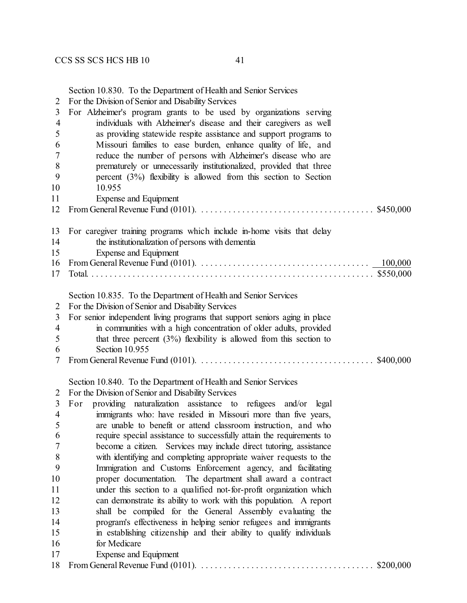Section 10.830. To the Department of Health and Senior Services

For the Division of Senior and Disability Services

| 3              | For Alzheimer's program grants to be used by organizations serving                                                         |
|----------------|----------------------------------------------------------------------------------------------------------------------------|
| $\overline{4}$ | individuals with Alzheimer's disease and their caregivers as well                                                          |
| 5              | as providing statewide respite assistance and support programs to                                                          |
| 6              | Missouri families to ease burden, enhance quality of life, and                                                             |
| 7              | reduce the number of persons with Alzheimer's disease who are                                                              |
| 8              | prematurely or unnecessarily institutionalized, provided that three                                                        |
| 9              | percent $(3%)$ flexibility is allowed from this section to Section                                                         |
| 10             | 10.955                                                                                                                     |
| 11             | Expense and Equipment                                                                                                      |
| 12             |                                                                                                                            |
| 13             | For caregiver training programs which include in-home visits that delay                                                    |
| 14             | the institutionalization of persons with dementia                                                                          |
| 15             | Expense and Equipment                                                                                                      |
| 16             | 100,000                                                                                                                    |
| 17             |                                                                                                                            |
|                | Section 10.835. To the Department of Health and Senior Services                                                            |
| 2              | For the Division of Senior and Disability Services                                                                         |
| 3              | For senior independent living programs that support seniors aging in place                                                 |
| $\overline{4}$ | in communities with a high concentration of older adults, provided                                                         |
| 5              | that three percent $(3%)$ flexibility is allowed from this section to                                                      |
| 6              | Section 10.955                                                                                                             |
| 7              | From General Revenue Fund (0101). $\ldots \ldots \ldots \ldots \ldots \ldots \ldots \ldots \ldots \ldots \ldots$ \$400,000 |
|                | Section 10.840. To the Department of Health and Senior Services                                                            |
| 2              | For the Division of Senior and Disability Services                                                                         |
| 3              | providing naturalization assistance to refugees and/or<br>For<br>legal                                                     |
| $\overline{4}$ | immigrants who: have resided in Missouri more than five years,                                                             |
| 5              | are unable to benefit or attend classroom instruction, and who                                                             |
| 6              | require special assistance to successfully attain the requirements to                                                      |
| 7              | become a citizen. Services may include direct tutoring, assistance                                                         |
| 8              | with identifying and completing appropriate waiver requests to the                                                         |
| 9              | Immigration and Customs Enforcement agency, and facilitating                                                               |
| 10             | proper documentation. The department shall award a contract                                                                |
| 11             | under this section to a qualified not-for-profit organization which                                                        |
| 12             | can demonstrate its ability to work with this population. A report                                                         |
| 13             | shall be compiled for the General Assembly evaluating the                                                                  |
| 14             | program's effectiveness in helping senior refugees and immigrants                                                          |
| 15             | in establishing citizenship and their ability to qualify individuals                                                       |
| 16             | for Medicare                                                                                                               |
| 17             | Expense and Equipment                                                                                                      |
| 18             |                                                                                                                            |
|                |                                                                                                                            |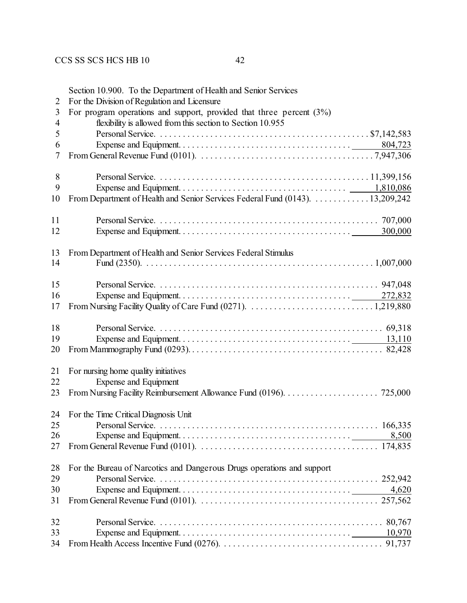| 2                        | Section 10.900. To the Department of Health and Senior Services<br>For the Division of Regulation and Licensure |
|--------------------------|-----------------------------------------------------------------------------------------------------------------|
| 3                        | For program operations and support, provided that three percent $(3%)$                                          |
| $\overline{\mathcal{A}}$ | flexibility is allowed from this section to Section 10.955                                                      |
| 5                        |                                                                                                                 |
| 6                        |                                                                                                                 |
| 7                        |                                                                                                                 |
| 8                        |                                                                                                                 |
| 9                        |                                                                                                                 |
| 10                       | From Department of Health and Senior Services Federal Fund (0143). 13,209,242                                   |
| 11                       |                                                                                                                 |
| 12                       |                                                                                                                 |
| 13                       | From Department of Health and Senior Services Federal Stimulus                                                  |
| 14                       |                                                                                                                 |
| 15                       |                                                                                                                 |
| 16                       |                                                                                                                 |
| 17                       |                                                                                                                 |
| 18                       |                                                                                                                 |
| 19                       |                                                                                                                 |
| 20                       |                                                                                                                 |
| 21                       | For nursing home quality initiatives                                                                            |
| 22                       | <b>Expense and Equipment</b>                                                                                    |
| 23                       |                                                                                                                 |
|                          | 24 For the Time Critical Diagnosis Unit                                                                         |
| 25                       |                                                                                                                 |
| 26                       |                                                                                                                 |
| 27                       |                                                                                                                 |
| 28                       | For the Bureau of Narcotics and Dangerous Drugs operations and support                                          |
| 29                       |                                                                                                                 |
| 30                       | 4,620                                                                                                           |
| 31                       |                                                                                                                 |

 Personal Service. . . . . . . . . . . . . . . . . . . . . . . . . . . . . . . . . . . . . . . . . . . . . . . . . . 80,767 Expense and Equipment. . . . . . . . . . . . . . . . . . . . . . . . . . . . . . . . . . . . . . 10,970 From Health Access Incentive Fund (0276). . . . . . . . . . . . . . . . . . . . . . . . . . . . . . . . . . . . 91,737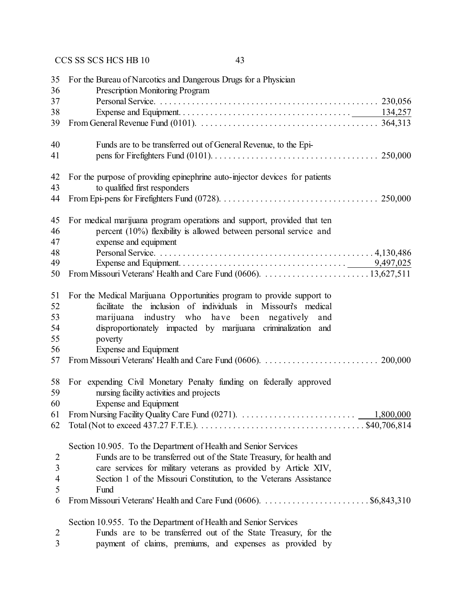| 35<br>36       | For the Bureau of Narcotics and Dangerous Drugs for a Physician<br>Prescription Monitoring Program                                  |
|----------------|-------------------------------------------------------------------------------------------------------------------------------------|
| 37             |                                                                                                                                     |
| 38             |                                                                                                                                     |
| 39             |                                                                                                                                     |
| 40             | Funds are to be transferred out of General Revenue, to the Epi-                                                                     |
| 41             | 250,000                                                                                                                             |
| 42             | For the purpose of providing epinephrine auto-injector devices for patients                                                         |
| 43             | to qualified first responders                                                                                                       |
| 44             |                                                                                                                                     |
| 45             | For medical marijuana program operations and support, provided that ten                                                             |
| 46             | percent (10%) flexibility is allowed between personal service and                                                                   |
| 47             | expense and equipment                                                                                                               |
| 48             |                                                                                                                                     |
| 49             |                                                                                                                                     |
| 50             |                                                                                                                                     |
| 51             | For the Medical Marijuana Opportunities program to provide support to                                                               |
| 52             | facilitate the inclusion of individuals in Missouri's medical                                                                       |
| 53             | marijuana industry who have been negatively<br>and                                                                                  |
| 54             | disproportionately impacted by marijuana criminalization and                                                                        |
| 55             | poverty                                                                                                                             |
| 56             | Expense and Equipment                                                                                                               |
| 57             |                                                                                                                                     |
| 58             | For expending Civil Monetary Penalty funding on federally approved                                                                  |
| 59             | nursing facility activities and projects                                                                                            |
| 60             | Expense and Equipment                                                                                                               |
| 61             |                                                                                                                                     |
| 62             | Total (Not to exceed 437.27 F.T.E.). $\dots \dots \dots \dots \dots \dots \dots \dots \dots \dots \dots \dots \dots$ . \$40,706,814 |
|                | Section 10.905. To the Department of Health and Senior Services                                                                     |
| $\overline{2}$ | Funds are to be transferred out of the State Treasury, for health and                                                               |
| $\overline{3}$ | care services for military veterans as provided by Article XIV,                                                                     |
| 4              | Section 1 of the Missouri Constitution, to the Veterans Assistance                                                                  |
| 5              | Fund                                                                                                                                |
| 6              |                                                                                                                                     |
|                | Section 10.955. To the Department of Health and Senior Services                                                                     |
| $\overline{2}$ | Funds are to be transferred out of the State Treasury, for the                                                                      |

payment of claims, premiums, and expenses as provided by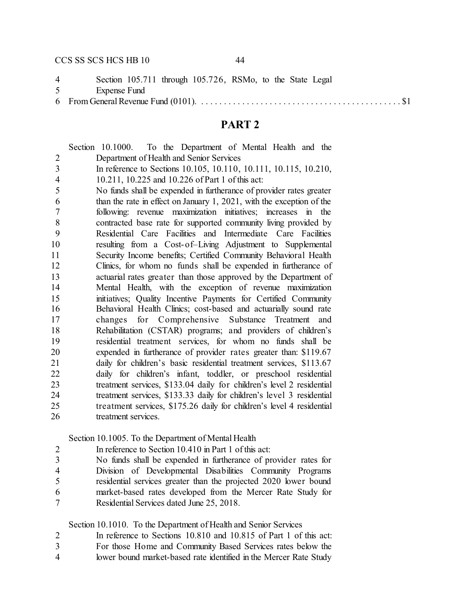Section 105.711 through 105.726, RSMo, to the State Legal Expense Fund

From General Revenue Fund (0101). . . . . . . . . . . . . . . . . . . . . . . . . . . . . . . . . . . . . . . . . . . . . \$1

#### **PART 2**

|                | Section 10.1000. To the Department of Mental Health and the           |
|----------------|-----------------------------------------------------------------------|
| $\overline{2}$ | Department of Health and Senior Services                              |
| $\overline{3}$ | In reference to Sections 10.105, 10.110, 10.111, 10.115, 10.210,      |
| $\overline{4}$ | 10.211, 10.225 and 10.226 of Part 1 of this act:                      |
| 5              | No funds shall be expended in furtherance of provider rates greater   |
| 6              | than the rate in effect on January 1, 2021, with the exception of the |
| 7              | following: revenue maximization initiatives; increases in the         |
| 8              | contracted base rate for supported community living provided by       |
| 9              | Residential Care Facilities and Intermediate Care Facilities          |
| 10             | resulting from a Cost-of-Living Adjustment to Supplemental            |
| 11             | Security Income benefits; Certified Community Behavioral Health       |
| 12             | Clinics, for whom no funds shall be expended in furtherance of        |
| 13             | actuarial rates greater than those approved by the Department of      |
| 14             | Mental Health, with the exception of revenue maximization             |
| 15             | initiatives; Quality Incentive Payments for Certified Community       |
| 16             | Behavioral Health Clinics; cost-based and actuarially sound rate      |
| 17             | changes for Comprehensive Substance Treatment and                     |
| 18             | Rehabilitation (CSTAR) programs; and providers of children's          |
| 19             | residential treatment services, for whom no funds shall be            |
| 20             | expended in furtherance of provider rates greater than: \$119.67      |
| 21             | daily for children's basic residential treatment services, \$113.67   |
| 22             | daily for children's infant, toddler, or preschool residential        |
| 23             | treatment services, \$133.04 daily for children's level 2 residential |
| 24             | treatment services, \$133.33 daily for children's level 3 residential |
| 25             | treatment services, \$175.26 daily for children's level 4 residential |
| 26             | treatment services.                                                   |

Section 10.1005. To the Department of Mental Health

In reference to Section 10.410 in Part 1 of this act:

 No funds shall be expended in furtherance of provider rates for Division of Developmental Disabilities Community Programs residential services greater than the projected 2020 lower bound market-based rates developed from the Mercer Rate Study for Residential Services dated June 25, 2018.

Section 10.1010. To the Department of Health and Senior Services

In reference to Sections 10.810 and 10.815 of Part 1 of this act:

For those Home and Community Based Services rates below the

lower bound market-based rate identified in the Mercer Rate Study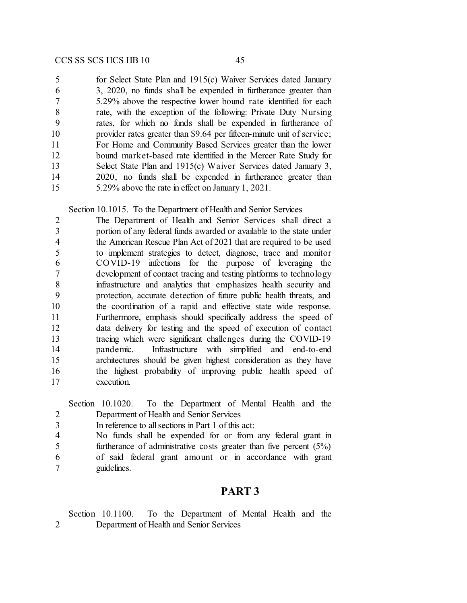for Select State Plan and 1915(c) Waiver Services dated January 3, 2020, no funds shall be expended in furtherance greater than 5.29% above the respective lower bound rate identified for each rate, with the exception of the following: Private Duty Nursing rates, for which no funds shall be expended in furtherance of provider rates greater than \$9.64 per fifteen-minute unit of service; For Home and Community Based Services greater than the lower bound market-based rate identified in the Mercer Rate Study for Select State Plan and 1915(c) Waiver Services dated January 3, 2020, no funds shall be expended in furtherance greater than 5.29% above the rate in effect on January 1, 2021.

Section 10.1015. To the Department of Health and Senior Services

 The Department of Health and Senior Services shall direct a portion of any federal funds awarded or available to the state under the American Rescue Plan Act of 2021 that are required to be used to implement strategies to detect, diagnose, trace and monitor COVID-19 infections for the purpose of leveraging the development of contact tracing and testing platforms to technology infrastructure and analytics that emphasizes health security and protection, accurate detection of future public health threats, and the coordination of a rapid and effective state wide response. Furthermore, emphasis should specifically address the speed of data delivery for testing and the speed of execution of contact tracing which were significant challenges during the COVID-19 pandemic. Infrastructure with simplified and end-to-end architectures should be given highest consideration as they have the highest probability of improving public health speed of execution.

|                | Section 10.1020. To the Department of Mental Health and the           |
|----------------|-----------------------------------------------------------------------|
| 2              | Department of Health and Senior Services                              |
|                | In reference to all sections in Part 1 of this act:                   |
| $\overline{4}$ | No funds shall be expended for or from any federal grant in           |
|                | furtherance of administrative costs greater than five percent $(5\%)$ |
| 6              | of said federal grant amount or in accordance with grant              |
|                | guidelines.                                                           |

#### **PART 3**

Section 10.1100. To the Department of Mental Health and the Department of Health and Senior Services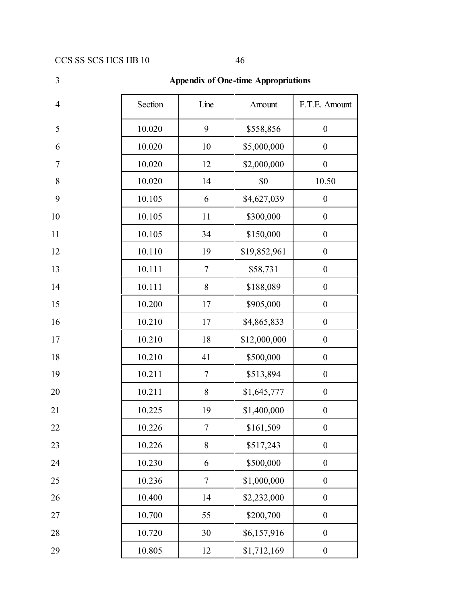# 3 **Appendix of One-time Appropriations** 4 Section Line Amount F.T.E. Amount 5 10.020 9 \$558,856 0 6 10.020 10 \$5,000,000 0 7 10.020 12 \$2,000,000 0 8 10.020 14 \$0 10.50 9 10.105 6 \$4,627,039 0 10 10.105 11 \$300,000 0 11 10.105 34 \$150,000 0 12 10.110 19 \$19,852,961 0 13 10.111 7 \$58,731 0 14 10.111 8 \$188,089 0 15 10.200 17 \$905,000 0 16 10.210 17 \$4,865,833 0 17 10.210 18 \$12,000,000 0 18 10.210 41 \$500,000 0 19 10.211 7 \$513,894 0 20 10.211 8 \$1,645,777 0 21 10.225 19 \$1,400,000 0 22 10.226 7 \$161,509 0 23 10.226 8 \$517,243 0 24 10.230 6 \$500,000 0 25 10.236 7 \$1,000,000 0 26 10.400 14 \$2,232,000 0 27 10.700 55 \$200,700 0 28 10.720 30 \$6,157,916 0 29 10.805 12 \$1,712,169 0